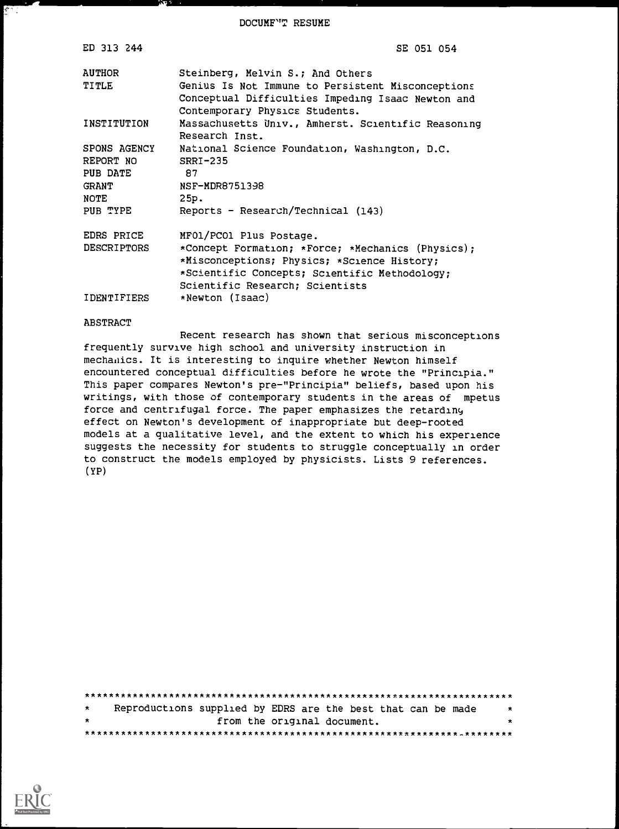DOCUMF"T RESUME

 $\overline{\mathbf{y}}$ ,  $\overline{\mathbf{y}}$ ,  $\overline{\mathbf{y}}$ ,  $\overline{\mathbf{y}}$ ,  $\overline{\mathbf{y}}$ ,  $\overline{\mathbf{y}}$ ,  $\overline{\mathbf{y}}$ ,  $\overline{\mathbf{y}}$ ,  $\overline{\mathbf{y}}$ ,  $\overline{\mathbf{y}}$ ,  $\overline{\mathbf{y}}$ ,  $\overline{\mathbf{y}}$ ,  $\overline{\mathbf{y}}$ ,  $\overline{\mathbf{y}}$ ,  $\overline{\mathbf{y}}$ ,  $\overline{\mathbf{y}}$ ,  $\overline{\mathbf{y}}$ ,

| ED 313 244                            | SE 051 054                                                                                                                                                                           |
|---------------------------------------|--------------------------------------------------------------------------------------------------------------------------------------------------------------------------------------|
| AUTHOR<br>TITLE                       | Steinberg, Melvin S.; And Others<br>Genius Is Not Immune to Persistent Misconceptions<br>Conceptual Difficulties Impeding Isaac Newton and                                           |
| INSTITUTION                           | Contemporary Physics Students.<br>Massachusetts Univ., Amherst. Scientific Reasoning<br>Research Inst.                                                                               |
| SPONS AGENCY<br>REPORT NO<br>PUB DATE | National Science Foundation, Washington, D.C.<br>$SRRI-235$<br>87                                                                                                                    |
| <b>GRANT</b><br>NOTE                  | NSF-MDR8751398<br>25p.                                                                                                                                                               |
| PUB TYPE                              | Reports - Research/Technical $(143)$                                                                                                                                                 |
| EDRS PRICE                            | MF01/PC01 Plus Postage.                                                                                                                                                              |
| <b>DESCRIPTORS</b>                    | *Concept Formation; *Force; *Mechanics (Physics);<br>*Misconceptions; Physics; *Science History;<br>*Scientific Concepts; Scientific Methodology;<br>Scientific Research; Scientists |
| IDENTIFIERS                           | *Newton (Isaac)                                                                                                                                                                      |

#### ABSTRACT

 $\epsilon$  .

Recent research has shown that serious misconceptions frequently survive high school and university instruction in mechanics. It is interesting to inquire whether Newton himself encountered conceptual difficulties before he wrote the "Principia." This paper compares Newton's pre-"Principia" beliefs, based upon his writings, with those of contemporary students in the areas of mpetus force and centrifugal force. The paper emphasizes the retarding effect on Newton's development of inappropriate but deep-rooted models at a qualitative level, and the extent to which his experience suggests the necessity for students to struggle conceptually in order to construct the models employed by physicists. Lists 9 references. (YP)

| 大       | Reproductions supplied by EDRS are the best that can be made | *       |
|---------|--------------------------------------------------------------|---------|
| $\star$ | from the original document.                                  | $\star$ |
|         |                                                              |         |

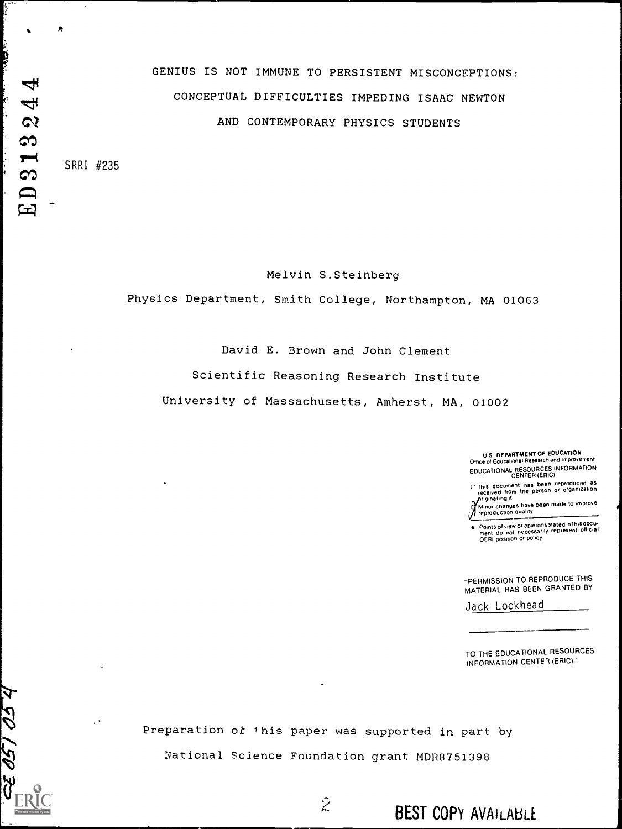þ ŀ.

 $\ddot{\cdot}$ 

 $\mathbf{v}$ 

**EE 051 05** 

<u>external control</u>

GENIUS IS NOT IMMUNE TO PERSISTENT MISCONCEPTIONS: CONCEPTUAL DIFFICULTIES IMPEDING ISAAC NEWTON<br>
AND CONTEMPORARY PHYSICS STUDENTS AND CONTEMPORARY PHYSICS STUDENTS

SRRI #235

ite in the second second in the second second in the second second second in the second second second second s

Melvin S.Steinberg

Physics Department, Smith College, Northampton, MA 01063

David E. Brown and John Clement

Scientific Reasoning Research Institute

University of Massachusetts, Amherst, MA, 01002

U S DEPARTMENT OF EDUCATION Office of Educational Research and Improvement EDUCATIONAL RESOURCES INFORMATION

r This document has been reproduced as<br>received from the person or organization<br>priginating it<br>film the production quality<br> $\pi$  eproduction quality

Points of view or opinions stated in this docu-<br>ment: do: not: necessarily: represent: official<br>OERI position or policy

-PERMISSION TO REPRODUCE THIS MATERIAL. HAS BEEN GRANTED BY

Jack Lockhead

BEST COPY AVAILABLE

TO THE EDUCATIONAL. RESOURCES INFORMATION CENTE9 (ERIC)."

Preparation of this paper was supported in part by National Science Foundation grant MDR8751398

 $\hat{z}$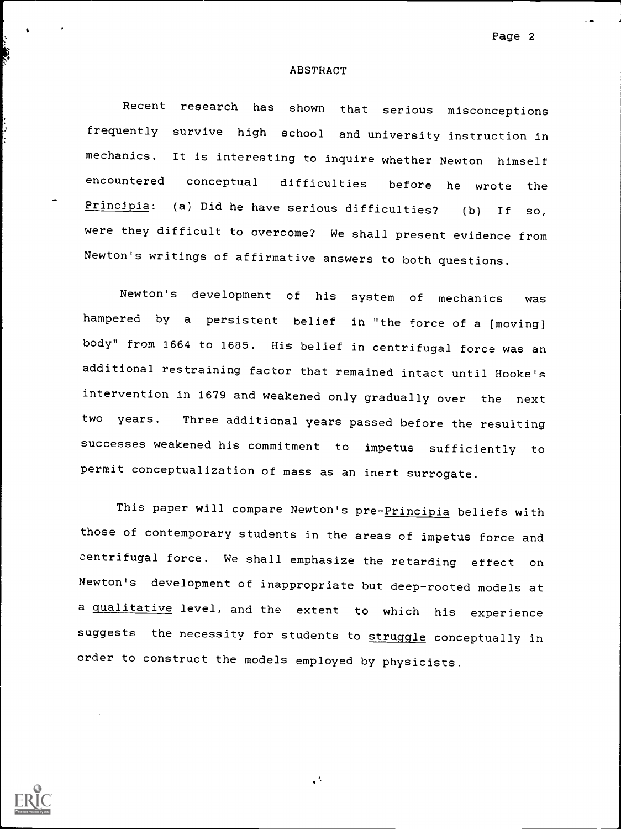Page 2

#### ABSTRACT

Recent research has shown that serious misconceptions frequently survive high school and university instruction in mechanics. It is interesting to inquire whether Newton himself encountered conceptual difficulties before he wrote the Principia: (a) Did he have serious difficulties? (b) If so, were they difficult to overcome? We shall present evidence from Newton's writings of affirmative answers to both questions.

Newton's development of his system of mechanics was hampered by <sup>a</sup> persistent belief in "the force of a [moving] body" from 1664 to 1685. His belief in centrifugal force was an additional restraining factor that remained intact until Hooke's intervention in 1679 and weakened only gradually over the next two years. Three additional years passed before the resulting successes weakened his commitment to impetus sufficiently to permit conceptualization of mass as an inert surrogate.

This paper will compare Newton's pre-Principia beliefs with those of contemporary students in the areas of impetus force and centrifugal force. We shall emphasize the retarding effect on Newton's development of inappropriate but deep-rooted models at a qualitative level, and the extent to which his experience suggests the necessity for students to struggle conceptually in order to construct the models employed by physicists.

 $\mathcal{C}$ 



the control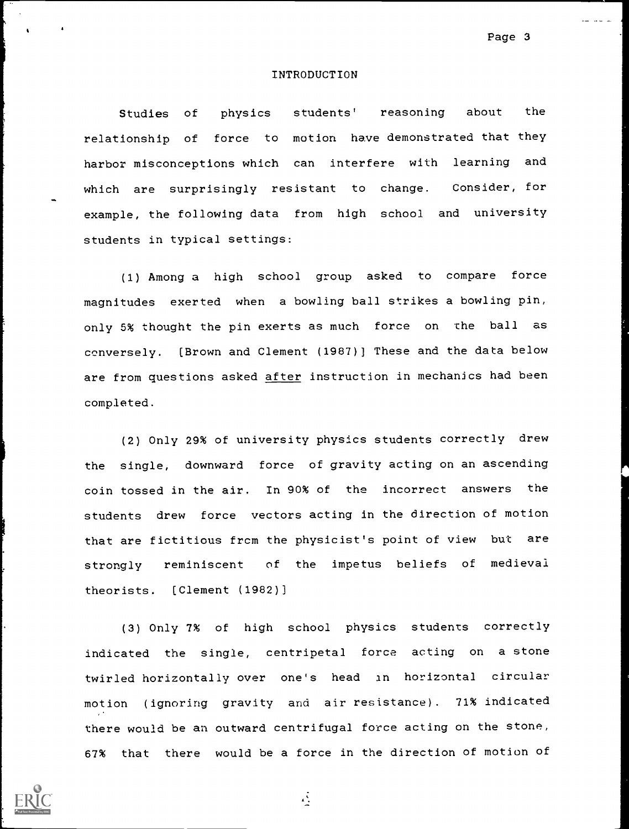Page 3

#### INTRODUCTION

Studies of physics students' reasoning about the relationship of force to motion have demonstrated that they harbor misconceptions which can interfere with learning and which are surprisingly resistant to change. Consider, for example, the following data from high school and university students in typical settings:

(1) Among a high school group asked to compare force magnitudes exerted when a bowling ball strikes a bowling pin, only 5% thought the pin exerts as much force on the ball as conversely. [Brown and Clement (1987)] These and the data below are from questions asked after instruction in mechanics had been completed.

(2) Only 29% of university physics students correctly drew the single, downward force of gravity acting on an ascending coin tossed in the air. In 90% of the incorrect answers the students drew force vectors acting in the direction of motion that are fictitious frcm the physicist's point of view but are strongly reminiscent of the impetus beliefs of medieval theorists. [Clement (1982)]

(3) Only 7% of high school physics students correctly indicated the single, centripetal force acting on a stone twirled horizontally over one's head an horizontal circular motion (ignoring gravity and air resistance). 71% indicated there would be an outward centrifugal force acting on the stone, 67% that there would be a force in the direction of motion of

 $\ddot{\cdot}$ 

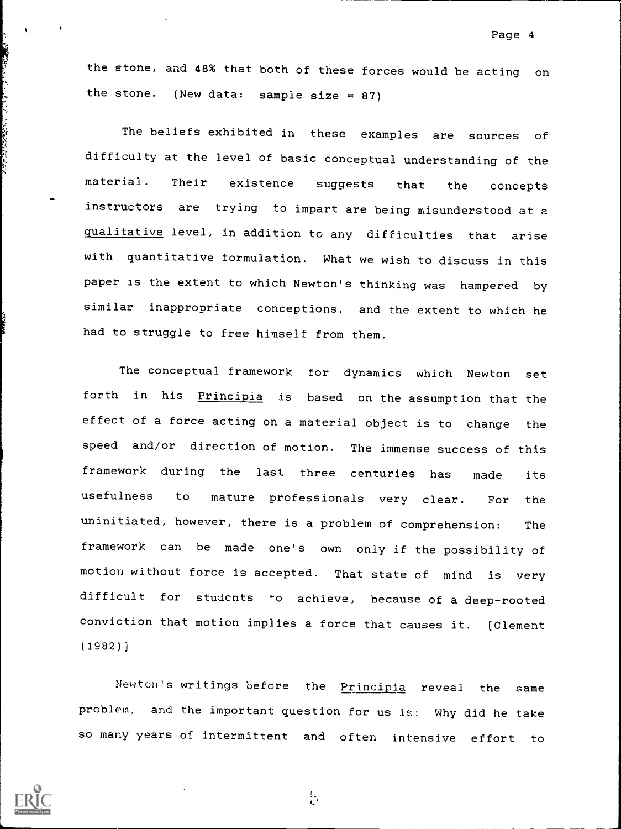the stone, and 48% that both of these forces would be acting on the stone. (New data: sample size = 87)

The beliefs exhibited in these examples are sources of difficulty at the level of basic conceptual understanding of the material. Their existence suggests that the concepts instructors are trying to impart are being misunderstood at <sup>a</sup> qualitative level, in addition to any difficulties that arise with quantitative formulation. What we wish to discuss in this paper is the extent to which Newton's thinking was hampered by similar inappropriate conceptions, and the extent to which he had to struggle to free himself from them.

The conceptual framework for dynamics which Newton set forth in his Principia is based on the assumption that the effect of a force acting on a material object is to change the speed and/or direction of motion. The immense success of this framework during the last three centuries has made its usefulness to mature professionals very clear. For the uninitiated, however, there is a problem of comprehension: The framework can be made one's own only if the possibility of motion without force is accepted. That state of mind is very difficult for students to achieve, because of a deep-rooted conviction that motion implies a force that causes it. (Clement (1982))

Newton's writings before the Principia reveal the same problem, and the important question for us is: Why did he take so many years of intermittent and often intensive effort to

 $\ddot{\cdot}$ 



a de la provincia de la provincia de la provincia de la provincia de la provincia de la provincia de la provincia del provincia de la provincia de la provincia de la provincia de la provincia de la provincia de la provinci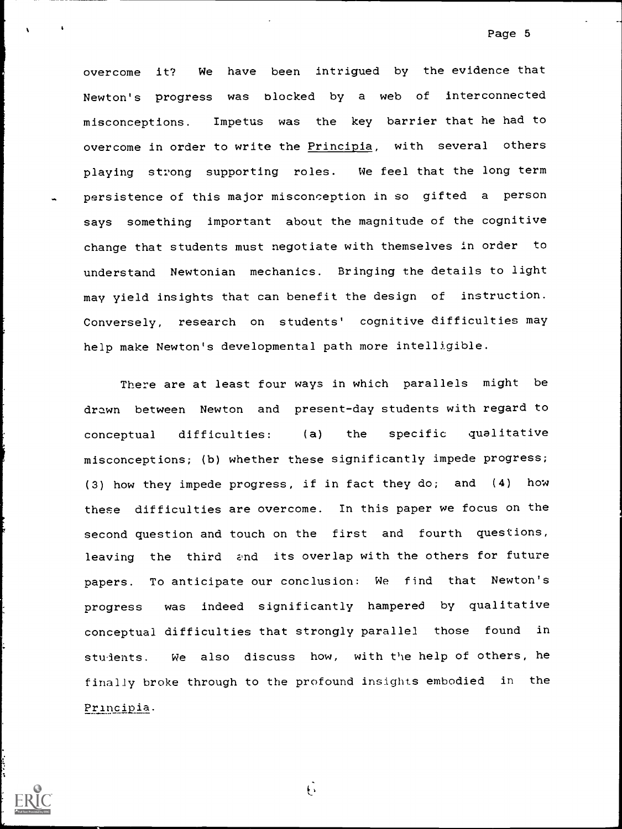overcome it? We have been intrigued by the evidence that Newton's progress was blocked by a web of interconnected misconceptions. Impetus was the key barrier that he had to overcome in order to write the Principia, with several others playing strong supporting roles. We feel that the long term persistence of this major misconception in so gifted a person says something important about the magnitude of the cognitive change that students must negotiate with themselves in order to understand Newtonian mechanics. Bringing the details to light may yield insights that can benefit the design of instruction. Conversely, research on students' cognitive difficulties may help make Newton's developmental path more intelligible.

There are at least four ways in which parallels might be drawn between Newton and present-day students with regard to conceptual difficulties: (a) the specific qualitative misconceptions; (b) whether these significantly impede progress; (3) how they impede progress, if in fact they do; and (4) how these difficulties are overcome. In this paper we focus on the second question and touch on the first and fourth questions, leaving the third and its overlap with the others for future papers. To anticipate our conclusion: We find that Newton's progress was indeed significantly hampered by qualitative conceptual difficulties that strongly parallel those found in students. We also discuss how, with the help of others, he finally broke through to the profound insights embodied in the Principia.

 $\mathfrak{g}$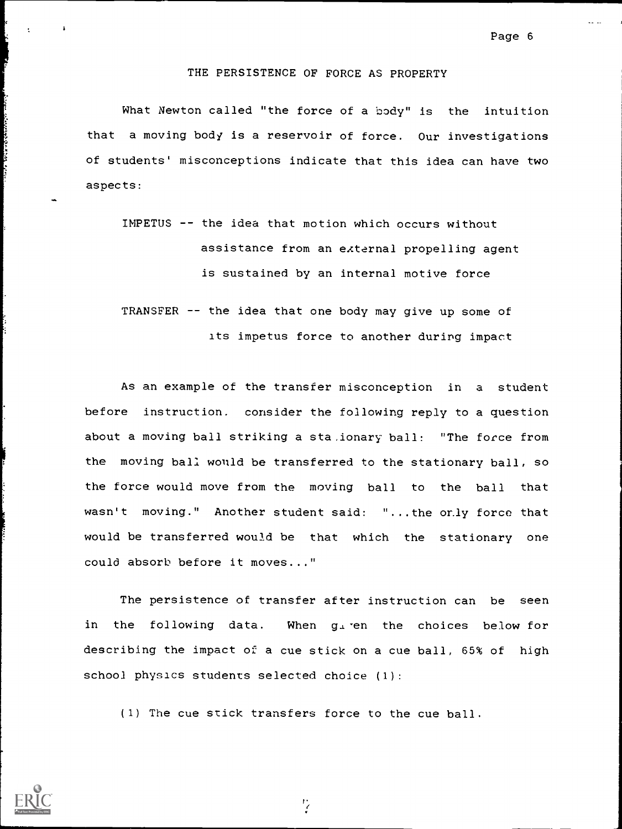#### THE PERSISTENCE OF FORCE AS PROPERTY

What Newton called "the force of a body" is the intuition that a moving body is a reservoir of force. Our investigations of students' misconceptions indicate that this idea can have two aspects:

IMPETUS  $-$ - the idea that motion which occurs without assistance from an external propelling agent is sustained by an internal motive force

TRANSFER  $-$ - the idea that one body may give up some of its impetus force to another during impact

As an example of the transfer misconception in a student before instruction. consider the following reply to a question about a moving ball striking a sta.ionary ball: "The force from the moving ball would be transferred to the stationary ball, so the force would move from the moving ball to the ball that wasn't moving." Another student said: "...the only force that would be transferred would be that which the stationary one could absorb before it moves..."

The persistence of transfer after instruction can be seen in the following data. When given the choices below for describing the impact of a cue stick on a cue ball, 65% of high school physics students selected choice (1):

(1) The cue stick transfers force to the cue ball.



**All Contracts** 

7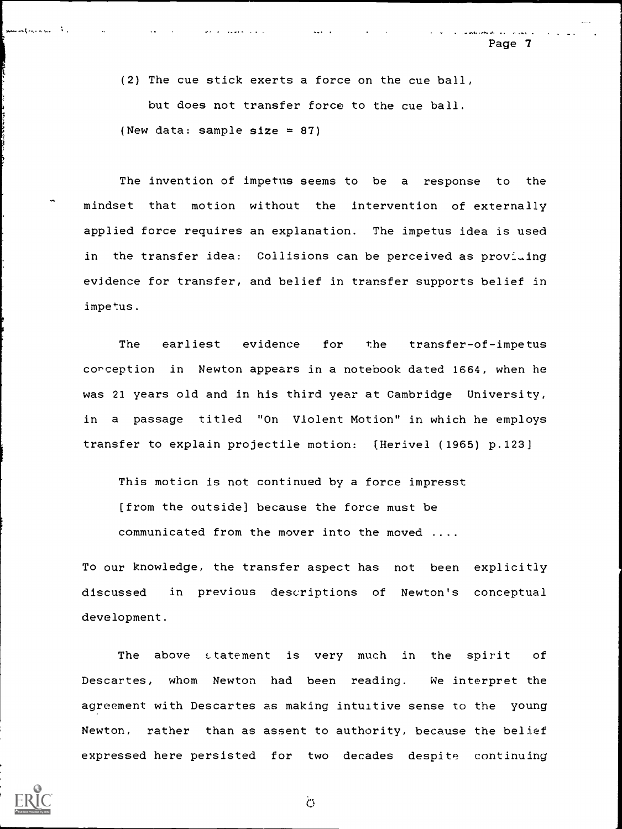(2) The cue stick exerts a force on the cue ball, but does not transfer force to the cue ball. (New data: sample size = 87)

 $\sim$   $\sim$   $\sim$ 

The invention of impetus seems to be a response to the mindset that motion without the intervention of externally applied force requires an explanation. The impetus idea is used in the transfer idea: Collisions can be perceived as  $prox_{\alpha}$ ing evidence for transfer, and belief in transfer supports belief in impetus.

The earliest evidence for the transfer-of-impetus conception in Newton appears in a notebook dated 1664, when he was 21 years old and in his third year at Cambridge University, in a passage titled "On Violent Motion" in which he employs transfer to explain projectile motion: (Herivel (1965) p.1231

This motion is not continued by a force impresst [from the outside] because the force must be communicated from the mover into the moved ....

To our knowledge, the transfer aspect has not been explicitly discussed in previous descriptions of Newton's conceptual development.

The above Ltatement is very much in the spirit of Descartes, whom Newton had been reading. We interpret the agreement with Descartes as making intuitive sense to the young Newton, rather than as assent to authority, because the belief expressed here persisted for two decades despite continuing



 $\circ$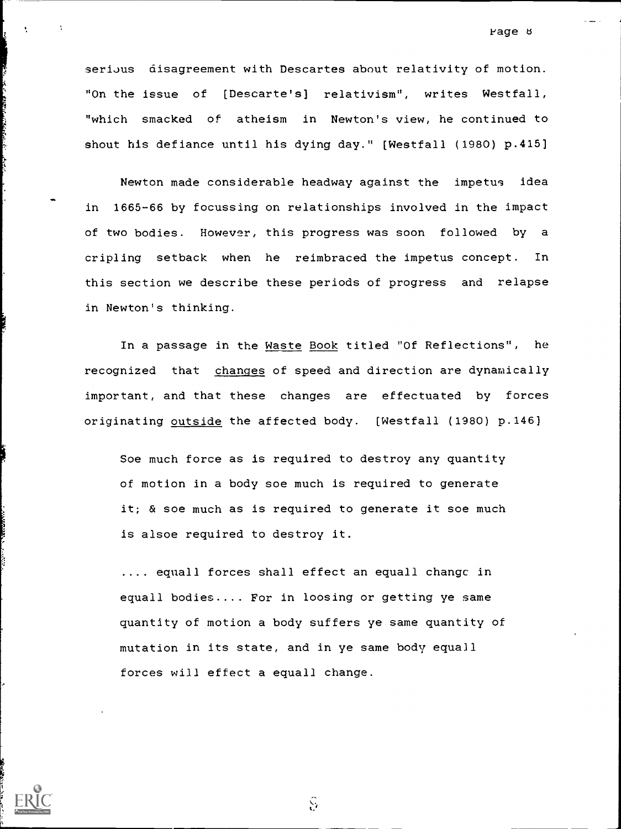serious disagreement with Descartes about relativity of motion. "On the issue of [Descarte's] relativism", writes Westfall, "which smacked of atheism in Newton's view, he continued to shout his defiance until his dying day." [Westfall (1980) p.415]

Newton made considerable headway against the impetus idea in 1665-66 by focussing on relationships involved in the impact of two bodies. However, this progress was soon followed by a cripling setback when he reimbraced the impetus concept. In this section we describe these periods of progress and relapse in Newton's thinking.

In a passage in the Waste Book titled "Of Reflections", he recognized that changes of speed and direction are dynamically important, and that these changes are effectuated by forces originating outside the affected body. (Westfall (1980) p.146)

Soe much force as is required to destroy any quantity of motion in a body soe much is required to generate it; & soe much as is required to generate it soe much is alsoe required to destroy it.

.... equall forces shall effect an equall changc in equall bodies.... For in loosing or getting ye same quantity of motion a body suffers ye same quantity of mutation in its state, and in ye same body equall forces will effect a equall change.

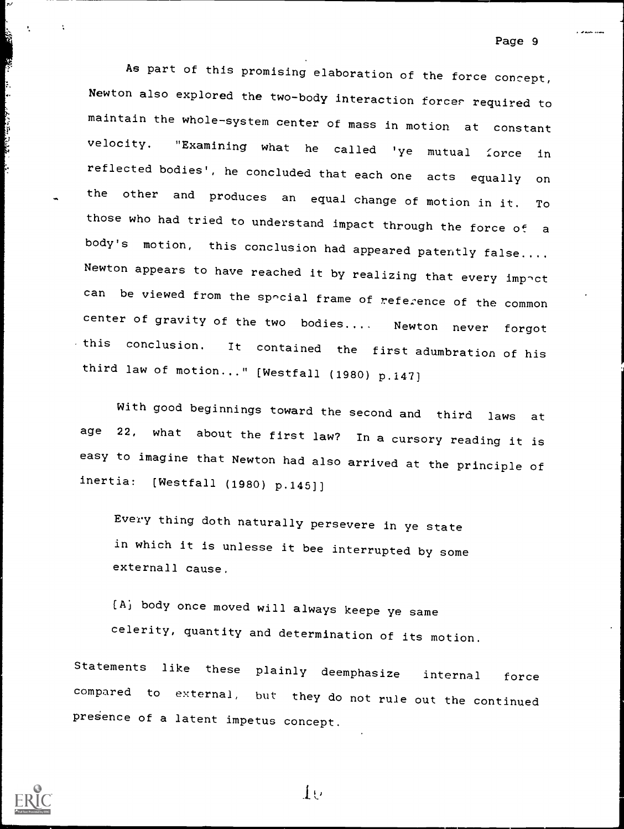As part of this promising elaboration of the force concept, Newton also explored the two-body interaction forcer required to maintain the whole-system center of mass in motion at constant velocity. "Examining what he called 'ye mutual force in reflected bodies', he concluded that each one acts equally on the other and produces an equal change of motion in it. To those who had tried to understand impact through the force of <sup>a</sup> body's motion, this conclusion had appeared patently false.... Newton appears to have reached it by realizing that every impact can be viewed from the spocial frame of reference of the common center of gravity of the two bodies.... Newton never forgot .this conclusion. It contained the first adumbration of his third law of motion..." [Westfall (1980) p.147]

With good beginnings toward the second and third laws at age 22, what about the first law? In a cursory reading it is easy to imagine that Newton had also arrived at the principle of inertia: [Westfall (1980) p.145]]

Every thing doth naturally persevere in ye state in which it is unlesse it bee interrupted by some externall cause.

[Aj body once moved will always keepe ye same celerity, quantity and determination of its motion.

Statements like these plainly deemphasize internal force compared to external, but they do not rule out the continued presence of a latent impetus concept.



Contract of the Table

 $\Gamma$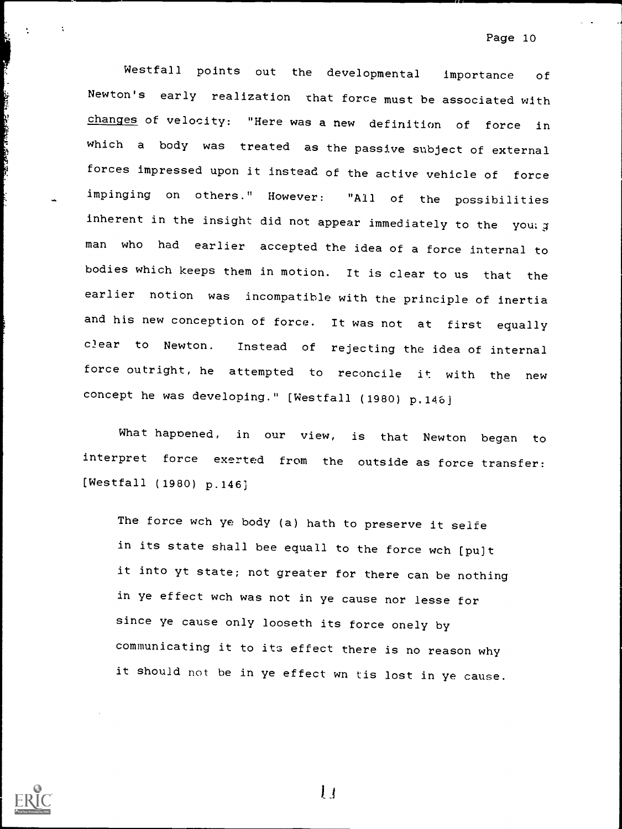Westfall points out the developmental importance of Newton's early realization that force must be associated with changes of velocity: "Here was a new definition of force in which <sup>a</sup> body was treated as the passive subject of external forces impressed upon it instead of the active vehicle of force impinging on others." However: "All of the possibilities inherent in the insight did not appear immediately to the you:  $\mathfrak g$ man who had earlier accepted the idea of a force internal to bodies which keeps them in motion. It is clear to us that the earlier notion was incompatible with the principle of inertia and his new conception of force. It was not at first equally clear to Newton. Instead of rejecting the idea of internal force outright, he attempted to reconcile it with the new concept he was developing." [Westfall (1980) p.1461

What happened, in our view, is that Newton began to interpret force exerted from the outside as force transfer: [Westfall (1980) p.146)

The force wch ye body (a) hath to preserve it selfe in its state shall bee equall to the force wch [pu]t it into yt state; not greater for there can be nothing in ye effect wch was not in ye cause nor lesse for since ye cause only looseth its force onely by communicating it to its effect there is no reason why it should not be in ye effect wn tis lost in ye cause.



hack the solution for a state of an order

 $\lfloor$   $\rfloor$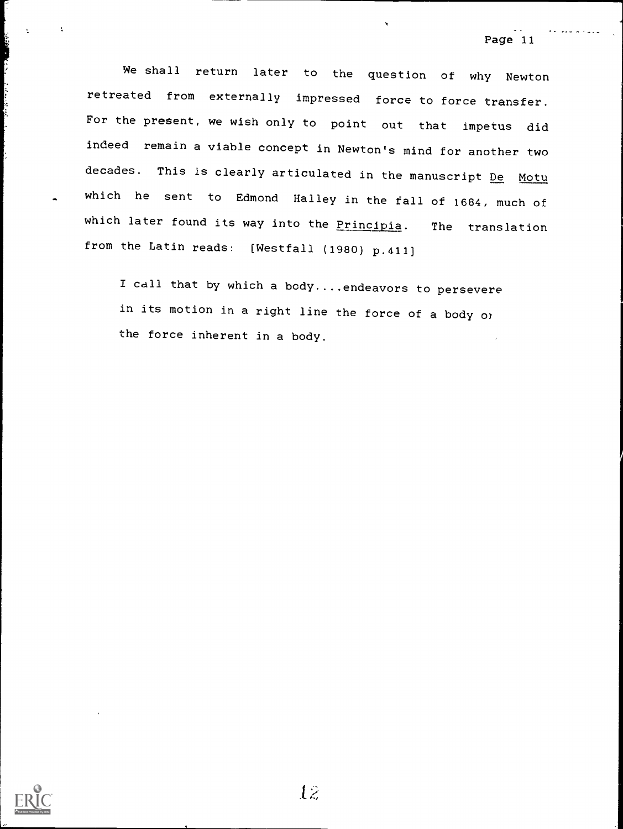We shall return later to the question of why Newton retreated from externally impressed force to force transfer. For the present, we wish only to point out that impetus did indeed remain a viable concept in Newton's mind for another two decades. This is clearly articulated in the manuscript De Motu which he sent to Edmond Halley in the fall of 1684, much of which later found its way into the **Principia**. The translation from the Latin reads: [Westfall (1980) p.411)

I call that by which a body.... endeavors to persevere in its motion in a right line the force of a body of the force inherent in a body.



Ē

 $12<sup>o</sup>$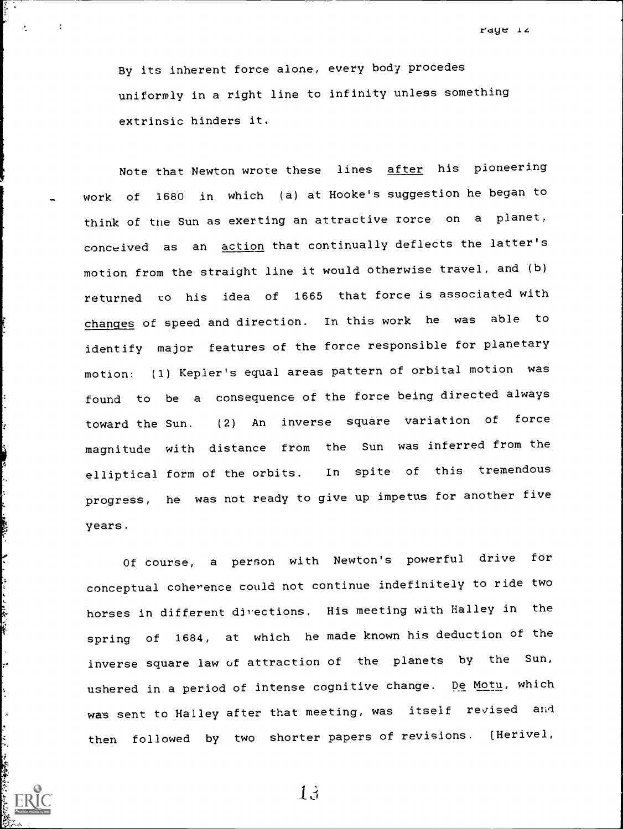rdye lc

By its inherent force alone, every body procedes uniformly in a right line to infinity unless something extrinsic hinders it.

Note that Newton wrote these lines after his pioneering work of <sup>1680</sup> in which (a) at Hooke's suggestion he began to think of tne Sun as exerting an attractive rorce on <sup>a</sup> planet, conceived as an action that continually deflects the latter's motion from the straight line it would otherwise travel, and (b) returned to his idea of 1665 that force is associated with changes of speed and direction. In this work he was able to identify major features of the force responsible for planetary motion: (1) Kepler's equal areas pattern of orbital motion was found to be <sup>a</sup> consequence of the force being directed always toward the Sun. (2) An inverse square variation of force magnitude with distance from the Sun was inferred from the elliptical form of the orbits. In spite of this tremendous progress, he was not ready to give up impetus for another five years.

Of course, <sup>a</sup> person with Newton's powerful drive for conceptual coherence could not continue indefinitely to ride two horses in different directions. His meeting with Halley in the spring of 1684, at which he made known his deduction of the inverse square law of attraction of the planets by the Sun, ushered in a period of intense cognitive change. De Motu, which was sent to Halley after that meeting, was itself revised and then followed by two shorter papers of revisions. [Herivel,

 $1<sup>3</sup>$ 

š,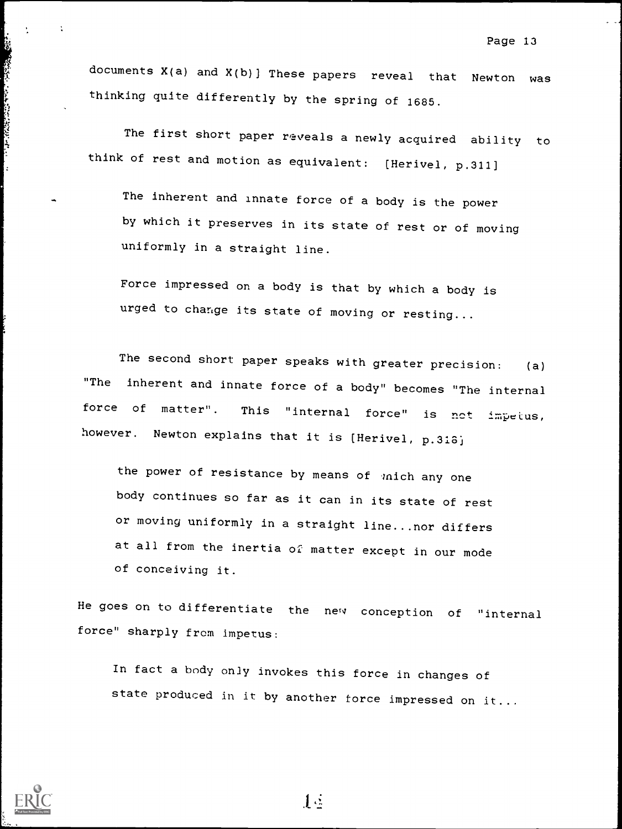documents X(a) and X(b)) These papers reveal that Newton was thinking quite differently by the spring of 1685.

The first short paper reveals a newly acquired ability to think of rest and motion as equivalent: (Herivel, p.311)

The inherent and innate force of a body is the power by which it preserves in its state of rest or of moving uniformly in a straight line.

Force impressed on a body is that by which a body is urged to change its state of moving or resting...

The second short paper speaks with greater precision: (a) "The inherent and innate force of a body" becomes "The internal force of matter". This "internal force" is not impetus, however. Newton explains that it is (Herivel, p.318)

the power of resistance by means of inich any one body continues so far as it can in its state of rest or moving uniformly in a straight line...nor differs at all from the inertia of matter except in our mode of conceiving it.

He goes on to differentiate the new conception of "internal force" sharply from impetus:

In fact a body only invokes this force in changes of state produced in it by another force impressed on it...



**Control Control Section 2005 Control Control Control Control Control Control Control Control Control Control Control Control Control Control Control Control Control Control Control Control Control Control Control Control** 

 $1\leq$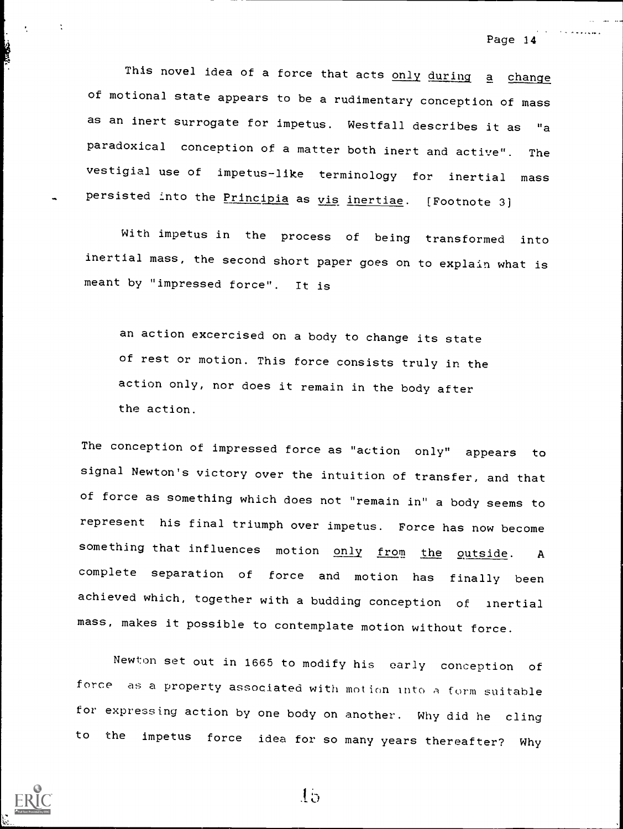This novel idea of a force that acts only during a change of motional state appears to be a rudimentary conception of mass as an inert surrogate for impetus. Westfall describes it as "a paradoxical conception of a matter both inert and active". The vestigial use of impetus-like terminology for inertial mass persisted into the Principia as vis inertiae. [Footnote 3]

With impetus in the process of being transformed into inertial mass, the second short paper goes on to explain what is meant by "impressed force". It is

an action excercised on a body to change its state of rest or motion. This force consists truly in the action only, nor does it remain in the body after the action.

The conception of impressed force as "action only" appears to signal Newton's victory over the intuition of transfer, and that of force as something which does not "remain in" a body seems to represent his final triumph over impetus. Force has now become something that influences motion only from the outside. A complete separation of force and motion has finally been achieved which, together with a budding conception of inertial mass, makes it possible to contemplate motion without force.

Newton set out in 1665 to modify his early conception of force as a property associated with motion into a form suitable for expressing action by one body on another. Why did he cling to the impetus force idea for so many years thereafter? Why

10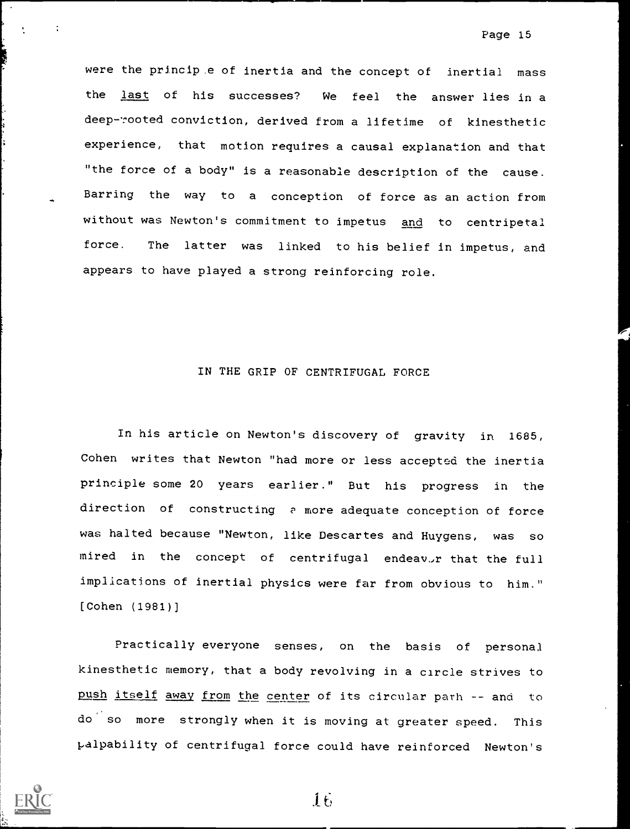were the princip.e of inertia and the concept of inertial mass the last of his successes? We feel the answer lies in a deep-'rooted conviction, derived from a lifetime of kinesthetic experience, that motion requires a causal explanation and that "the force of a body" is a reasonable description of the cause. Barring the way to a conception of force as an action from without was Newton's commitment to impetus and to centripetal force. The latter was linked to his belief in impetus, and appears to have played a strong reinforcing role.

#### IN THE GRIP OF CENTRIFUGAL FORCE

In his article on Newton's discovery of gravity in 1685, Cohen writes that Newton "had more or less accepted the inertia principle some 20 years earlier." But his progress in the direction of constructing a more adequate conception of force was halted because "Newton, like Descartes and Huygens, was so mired in the concept of centrifugal endeavor that the full implications of inertial physics were far from obvious to him." [Cohen (1981))

Practically everyone senses, on the basis of personal kinesthetic memory, that a body revolving in a circle strives to push itself away from the center of its circular parh -- and to do so more strongly when it is moving at greater speed. This palpability of centrifugal force could have reinforced Newton's

16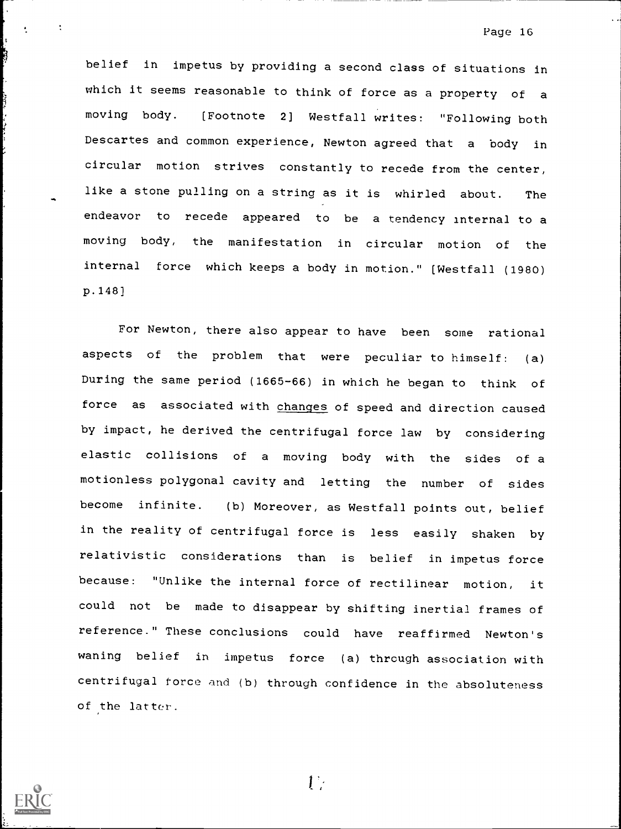belief in impetus by providing a second class of situations in which it seems reasonable to think of force as a property of <sup>a</sup> moving body. (Footnote 2) Westfall writes: "Following both Descartes and common experience, Newton agreed that <sup>a</sup> body in circular motion strives constantly to recede from the center, like a stone pulling on a string as it is whirled about. The endeavor to recede appeared to be a tendency internal to a moving body, the manifestation in circular motion of the internal force which keeps a body in motion." [Westfall (1980) p.148]

For Newton, there also appear to have been some rational aspects of the problem that were peculiar to himself: (a) During the same period (1665-66) in which he began to think of force as associated with changes of speed and direction caused by impact, he derived the centrifugal force law by considering elastic collisions of <sup>a</sup> moving body with the sides of a motionless polygonal cavity and letting the number of sides become infinite. (b) Moreover, as Westfall points out, belief in the reality of centrifugal force is less easily shaken by relativistic considerations than is belief in impetus force because: "Unlike the internal force of rectilinear motion, it could not be made to disappear by shifting inertial frames of reference." These conclusions could have reaffirmed Newton's waning belief in impetus force (a) through association with centrifugal force and (b) through confidence in the absoluteness of the latter.



ŧ

ine.

 $\mathbf{I}^{\ast}$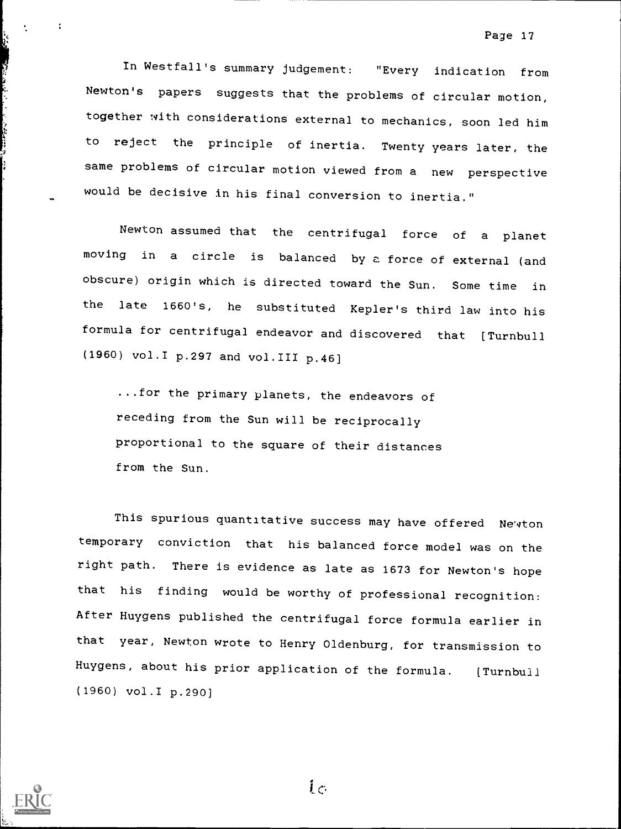In Westfall's summary judgement: "Every indication from Newton's papers suggests that the problems of circular motion, together with considerations external to mechanics, soon led him to reject the principle of inertia. Twenty years later, the same problems of circular motion viewed from a new perspective would be decisive in his final conversion to inertia."

Newton assumed that the centrifugal force of <sup>a</sup> planet moving in <sup>a</sup> circle is balanced by a force of external (and obscure) origin which is directed toward the Sun. Some time in the late 1660's, he substituted Kepler's third law into his formula for centrifugal endeavor and discovered that [Turnbull (1960) vol.I p.297 and vol.III p.461

...for the primary planets, the endeavors of receding from the Sun will be reciprocally proportional to the square of their distances from the Sun.

This spurious quantitative success may have offered Newton temporary conviction that his balanced force model was on the right path. There is evidence as late as 1673 for Newton's hope that his finding would be worthy of professional recognition: After Huygens published the centrifugal force formula earlier in that year, Newton wrote to Henry Oldenburg, for transmission to Huygens, about his prior application of the formula. [Turnbull (1960) vol.I p.290)

医精神病 医血管 医血管性神经炎

 $\mathbf{i}$  c.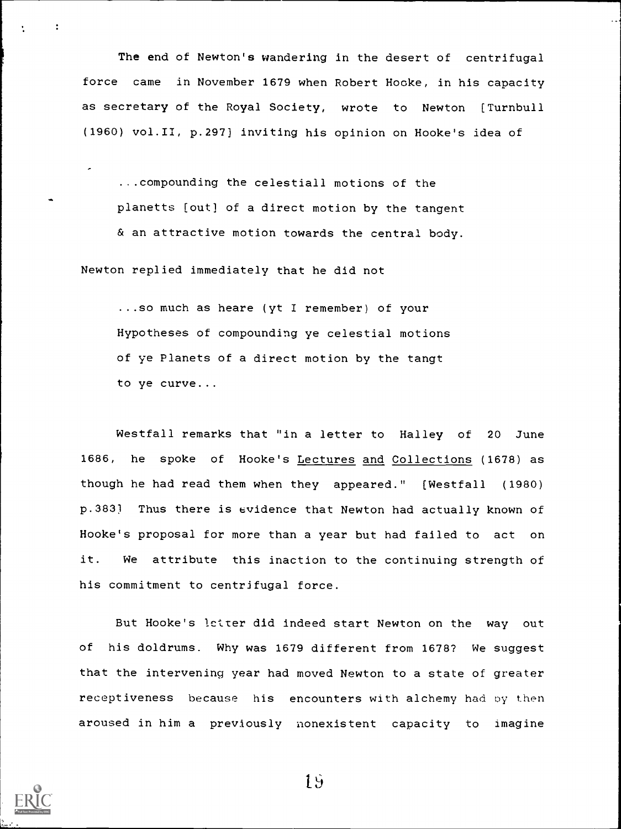The end of Newton's wandering in the desert of centrifugal force came in November 1679 when Robert Hooke, in his capacity as secretary of the Royal Society, wrote to Newton [Turnbull (1960) vol.II, p.297] inviting his opinion on Hooke's idea of

...compounding the celestiall motions of the planetts [out] of a direct motion by the tangent & an attractive motion towards the central body.

Newton replied immediately that he did not

...so much as heare (yt I remember) of your Hypotheses of compounding ye celestial motions of ye Planets of a direct motion by the tangt to ye curve...

Westfall remarks that "in a letter to Halley of 20 June 1686, he spoke of Hooke's Lectures and Collections (1678) as though he had read them when they appeared." [Westfall (1980) p.3831 Thus there is evidence that Newton had actually known of Hooke's proposal for more than a year but had failed to act on it. We attribute this inaction to the continuing strength of his commitment to centrifugal force.

But Hooke's letter did indeed start Newton on the way out of his doldrums. Why was 1679 different from 1678? We suggest that the intervening year had moved Newton to a state of greater receptiveness because his encounters with alchemy had oy then aroused in him a previously nonexistent capacity to imagine



19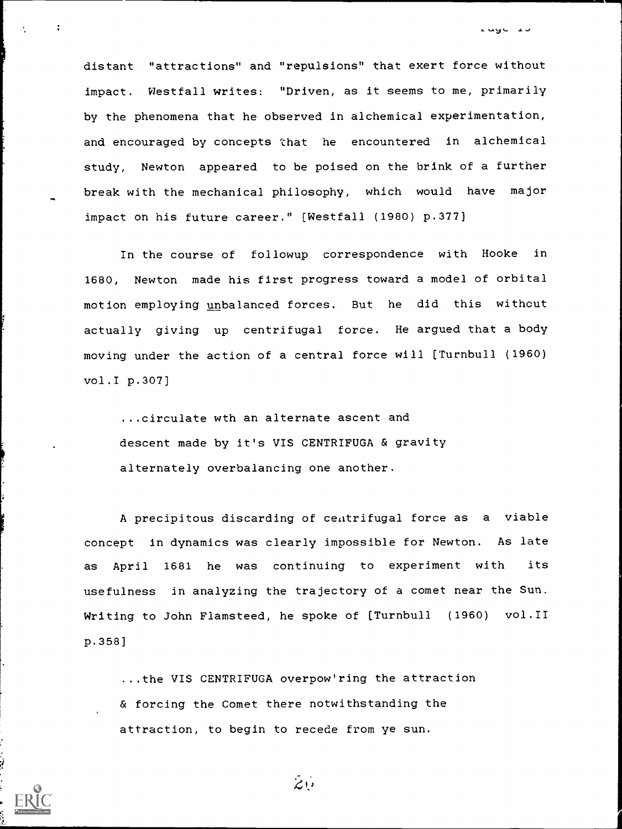distant "attractions" and "repulsions" that exert force without impact. Westfall writes: "Driven, as it seems to me, primarily by the phenomena that he observed in alchemical experimentation, and encouraged by concepts that he encountered in alchemical study, Newton appeared to be poised on the brink of a further

a. 4.AV,.. A J

break with the mechanical philosophy, which would have major impact on his future career." [Westfall (1980) p.377]

In the course of followup correspondence with Hooke in 1680, Newton made his first progress toward a model of orbital motion employing unbalanced forces. But he did this without actually giving up centrifugal force. He argued that a body moving under the action of a central force will [Turnbull (1960) vol.I p.307]

...circulate wth an alternate ascent and descent made by it's VIS CENTRIFUGA & gravity alternately overbalancing one another.

A precipitous discarding of centrifugal force as a viable concept in dynamics was clearly impossible for Newton. As late as April 1681 he was continuing to experiment with its usefulness in analyzing the trajectory of a comet near the Sun. Writing to John Flamsteed, he spoke of [Turnbull (1960) vol.II p.358]

...the VIS CENTRIFUGA overpow'ring the attraction & forcing the Comet there notwithstanding the attraction, to begin to recede from ye sun.

رونخ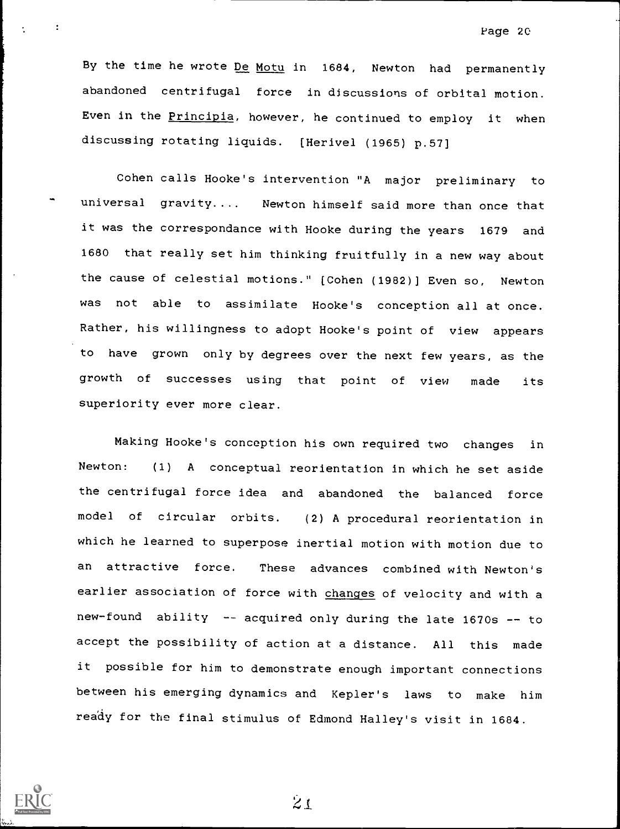1

By the time he wrote De Motu in 1684, Newton had permanently abandoned centrifugal force in discussions of orbital motion. Even in the **Principia**, however, he continued to employ it when discussing rotating liquids. [Herivel (1965) p.57]

Cohen calls Hooke's intervention "A major preliminary to universal gravity.... Newton himself said more than once that it was the correspondance with Hooke during the years 1679 and 1680 that really set him thinking fruitfully in a new way about the cause of celestial motions." [Cohen (1982)] Even so, Newton was not able to assimilate Hooke's conception all at once. Rather, his willingness to adopt Hooke's point of view appears to have grown only by degrees over the next few years, as the growth of successes using that point of view made its superiority ever more clear.

Making Hooke's conception his own required two changes in Newton: (1) A conceptual reorientation in which he set aside the centrifugal force idea and abandoned the balanced force model of circular orbits. (2) A procedural reorientation in which he learned to superpose inertial motion with motion due to an attractive force. These advances combined with Newton's earlier association of force with changes of velocity and with a new-found ability -- acquired only during the late 1670s -- to accept the possibility of action at a distance. All this made it possible for him to demonstrate enough important connections between his emerging dynamics and Kepler's laws to make him ready for the final stimulus of Edmond Halley's visit in 1684.



I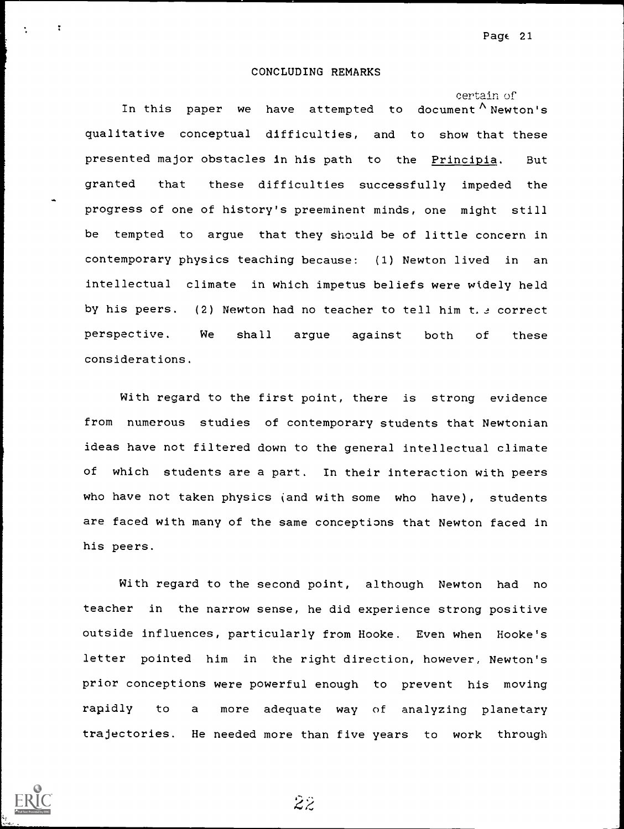#### CONCLUDING REMARKS

certain of In this paper we have attempted to document Newton's qualitative conceptual difficulties, and to show that these presented major obstacles in his path to the Principia. But granted that these difficulties successfully impeded the progress of one of history's preeminent minds, one might still be tempted to argue that they should be of little concern in contemporary physics teaching because: (1) Newton lived in an intellectual climate in which impetus beliefs were widely held by his peers. (2) Newton had no teacher to tell him t.  $\epsilon$  correct perspective. We shall argue against both of these considerations.

With regard to the first point, there is strong evidence from numerous studies of contemporary students that Newtonian ideas have not filtered down to the general intellectual climate of which students are a part. In their interaction with peers who have not taken physics (and with some who have), students are faced with many of the same conceptions that Newton faced in his peers.

With regard to the second point, although Newton had no teacher in the narrow sense, he did experience strong positive outside influences, particularly from Hooke. Even when Hooke's letter pointed him in the right direction, however, Newton's prior conceptions were powerful enough to prevent his moving rapidly to a more adequate way of analyzing planetary trajectories. He needed more than five years to work through



 $2\hat{z}$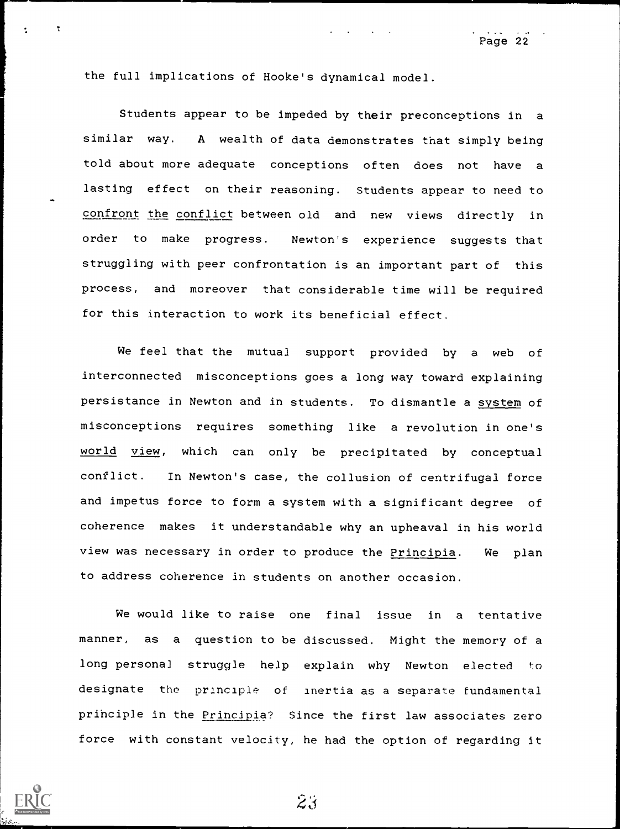the full implications of Hooke's dynamical model.

Students appear to be impeded by their preconceptions in a similar way. A wealth of data demonstrates that simply being told about more adequate conceptions often does not have a lasting effect on their reasoning. Students appear to need to confront the conflict between old and new views directly in order to make progress. Newton's experience suggests that struggling with peer confrontation is an important part of this process, and moreover that considerable time will be required for this interaction to work its beneficial effect.

We feel that the mutual support provided by a web of interconnected misconceptions goes a long way toward explaining persistance in Newton and in students. To dismantle a system of misconceptions requires something like a revolution in one's world view, which can only be precipitated by conceptual conflict. In Newton's case, the collusion of centrifugal force and impetus force to form a system with a significant degree of coherence makes it understandable why an upheaval in his world view was necessary in order to produce the Principia. We plan to address coherence in students on another occasion.

We would like to raise one final issue in a tentative manner, as a question to be discussed. Might the memory of a long personal struggle help explain why Newton elected to designate the principle of inertia as a separate fundamental principle in the Principia? Since the first law associates zero force with constant velocity, he had the option of regarding it



÷

 $23$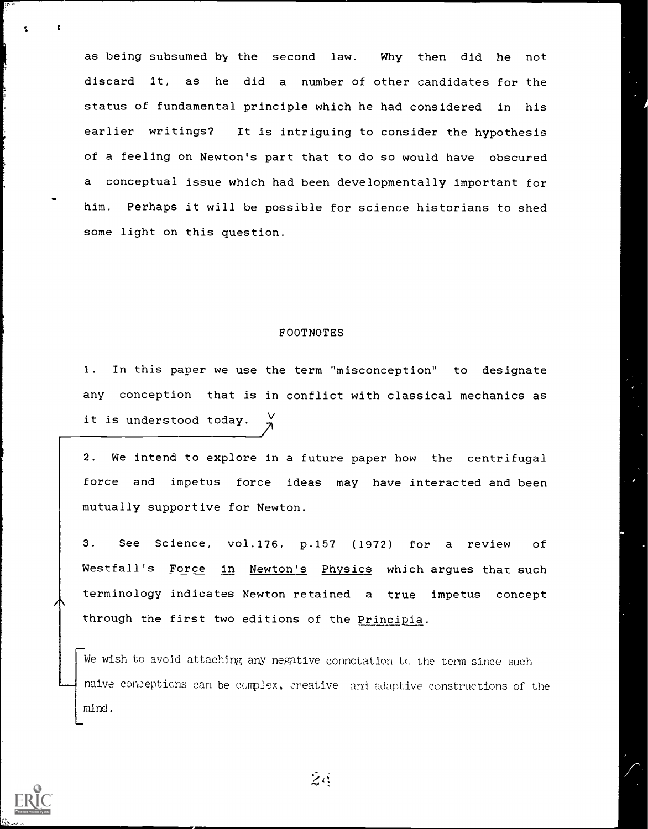as being subsumed by the second law. Why then did he not discard it, as he did a number of other candidates for the status of fundamental principle which he had considered in his earlier writings? It is intriguing to consider the hypothesis of a feeling on Newton's part that to do so would have obscured a conceptual issue which had been developmentally important for him. Perhaps it will be possible for science historians to shed some light on this question.

#### FOOTNOTES

1. In this paper we use the term "misconception" to designate any conception that is in conflict with classical mechanics as it is understood today.

2. We intend to explore in a future paper how the centrifugal force and impetus force ideas may have interacted and been mutually supportive for Newton.

3. See Science, vol.176, p.157 (1972) for a review of Westfall's Force in Newton's Physics which argues that such terminology indicates Newton retained a true impetus concept through the first two editions of the Principia.

We wish to avoid attaching any negative connotation to the term since such naive conceptions can be complex, creative and adaptive constructions of the mind.



 $2\alpha$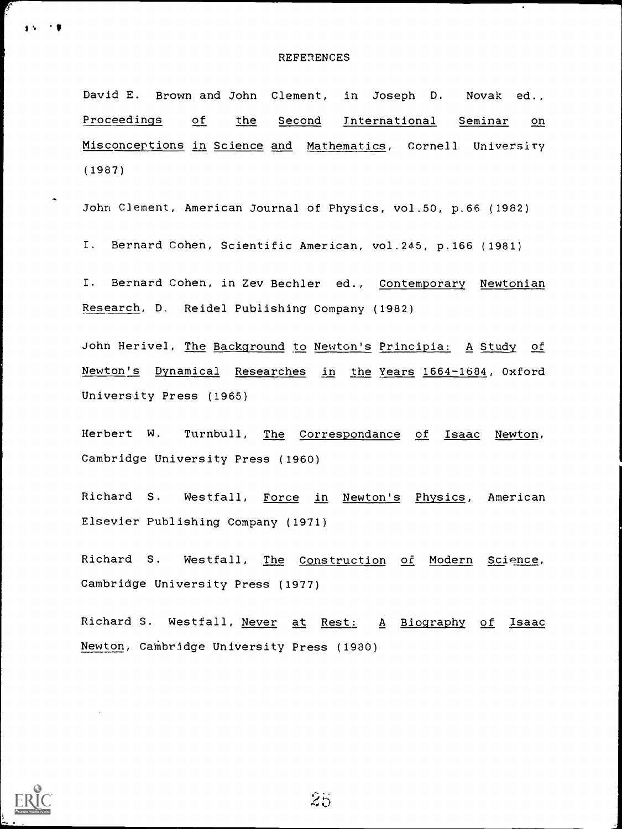#### **REFERENCES**

David E. Brown and John Clement, in Joseph D. Novak ed., Proceedings of the Second International Seminar on Misconceptions in Science and Mathematics, Cornell University (1987)

John Clement, American Journal of Physics, vol.50, p.66 (1982)

I. Bernard Cohen, Scientific American, vol.245, p.166 (1981)

I. Bernard Cohen, in Zev Bechler ed., Contemporary Newtonian Research, D. Reidel Publishing Company (1982)

John Herivel, The Background to Newton's Principia: A Study of Newton's Dynamical Researches in the Years 1664-1684, Oxford University Press (1965)

Herbert W. Turnbull, The Correspondance of Isaac Newton, Cambridge University Press (1960)

Richard S. Westfall, Force in Newton's Physics, American Elsevier Publishing Company (1971)

Richard S. Westfall, The Construction of Modern Science, Cambridge University Press (1977)

Richard S. Westfall, Never at Rest: A Biography of Isaac Newton, Cambridge University Press (1980)

 $\hat{z}5$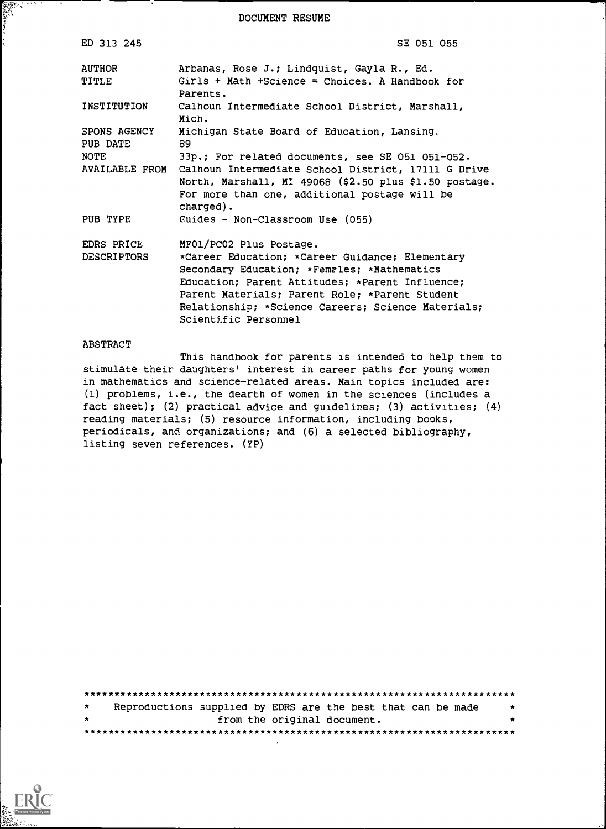DOCUMENT RESUME

| ED 313 245                      | SE 051 055                                                                                                                                                                  |
|---------------------------------|-----------------------------------------------------------------------------------------------------------------------------------------------------------------------------|
| AUTHOR                          | Arbanas, Rose J.; Lindquist, Gayla R., Ed.                                                                                                                                  |
| TITLE                           | Girls + Math +Science = Choices. A Handbook for<br>Parents.                                                                                                                 |
| INSTITUTION                     | Calhoun Intermediate School District, Marshall,<br>Mich.                                                                                                                    |
| <b>SPONS AGENCY</b><br>PUB DATE | Michigan State Board of Education, Lansing.<br>89.                                                                                                                          |
| NOTE                            | 33p.; For related documents, see SE 051 051-052.                                                                                                                            |
| <b>AVAILABLE FROM</b>           | Calhoun Intermediate School District, 17111 G Drive<br>North, Marshall, MI 49068 (\$2.50 plus \$1.50 postage.<br>For more than one, additional postage will be<br>charged). |
| PUB TYPE                        | Cuides - Non-Classroom Use (055)                                                                                                                                            |
| EDRS PRICE                      | MFO1/PC02 Plus Postage.                                                                                                                                                     |
| DESCRIPTORS                     | *Career Education; *Career Guidance; Elementary                                                                                                                             |
|                                 | Secondary Education; *Females; *Mathematics                                                                                                                                 |
|                                 | Education; Parent Attitudes; *Parent Influence;                                                                                                                             |
|                                 | Parent Materials; Parent Role; *Parent Student                                                                                                                              |
|                                 | Relationship; *Science Careers; Science Materials;                                                                                                                          |
|                                 | Scientific Personnel                                                                                                                                                        |

#### ABSTRACT

SAN

This handbook for parents is intended to help them to stimulate their daughters' interest in career paths for young women in mathematics and science-related areas. Main topics included are: (1) problems, i.e., the dearth of women in the sciences (includes a fact sheet); (2) practical advice and guidelines; (3) activities; (4) reading materials; (5) resource information, including books, periodicals, and organizations; and (6) a selected bibliography, listing seven references. (YP)

| $\star$ | Reproductions supplied by EDRS are the best that can be made |  |                             |  | $\star$ |
|---------|--------------------------------------------------------------|--|-----------------------------|--|---------|
| $\star$ |                                                              |  | from the original document. |  | *       |
|         |                                                              |  |                             |  |         |

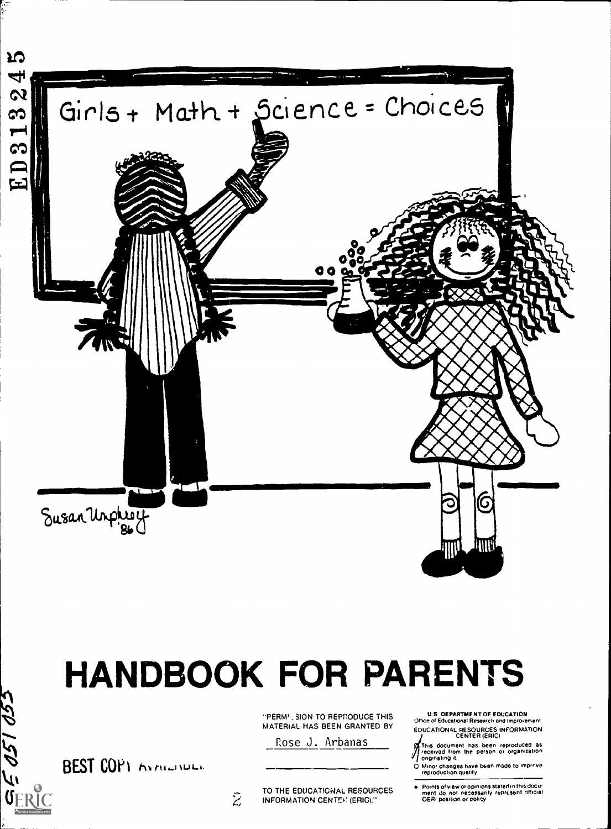

# HANDBOOK FOR PARENTS



BEST COPI AVAILIBLE

"PERM', SION TO REPRODUCE THIS MATERIAL HAS BEEN GRANTED BY

Rose J. Arbanas

TO THE EDUCATIONAL RESOURCES INFORMATION CENTER (ERIC)."

U S DEPARTMENT OF EDUCATION

Office of Educational Research and Improvement EDUCATIONAL RESOURCES INFORMATION

CENTER (ERIC)<br>
This document has been reproduced as<br>
conginating it<br>
criginating it

0 Minor changes have been mode to improve reproduction Quality

Points of view or opinions stated in this docu<del>.</del><br>ment: do: not: ne¢essarily: represent: official<br>GERI position or policy

 $\tilde{z}$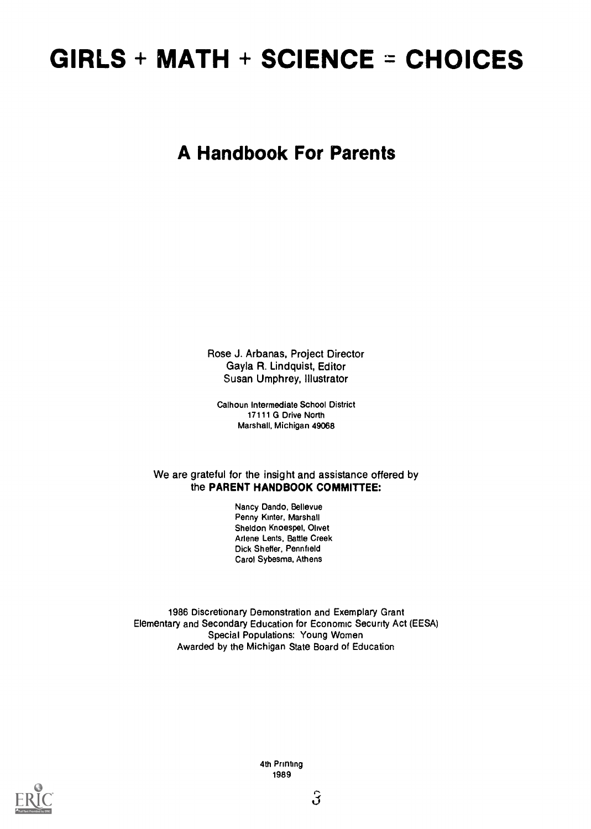## GIRLS + MATH + SCIENCE = CHOICES

A Handbook For Parents

Rose J. Arbanas, Project Director Gayla R. Lindquist, Editor Susan Umphrey, Illustrator

Calhoun Intermediate School District 17111 G Drive North Marshall, Michigan 49068

We are grateful for the insight and assistance offered by the PARENT HANDBOOK COMMITTEE:

> Nancy Dando, Bellevue Penny Kinter, Marshall Sheldon Knoespel, Olivet Arlene Lents, Battle Creek Dick Sheffer, Pennfield Carol Sybesma, Athens

1986 Discretionary Demonstration and Exemplary Grant Elementary and Secondary Education for Economic Security Act (EESA) Special Populations: Young Women Awarded by the Michigan State Board of Education



4th Printing 1989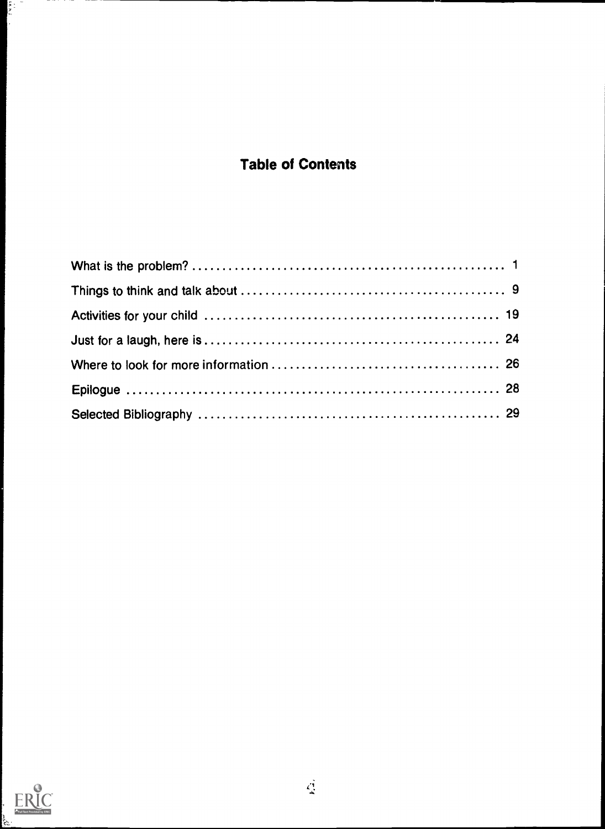## Table of Contents



 $\begin{bmatrix} 1 & 0 \\ 0 & 0 \\ 0 & 0 \\ 0 & 0 \\ 0 & 0 \\ 0 & 0 \\ 0 & 0 \\ 0 & 0 \\ 0 & 0 \\ 0 & 0 \\ 0 & 0 \\ 0 & 0 \\ 0 & 0 \\ 0 & 0 \\ 0 & 0 \\ 0 & 0 \\ 0 & 0 \\ 0 & 0 \\ 0 & 0 \\ 0 & 0 \\ 0 & 0 \\ 0 & 0 \\ 0 & 0 \\ 0 & 0 \\ 0 & 0 \\ 0 & 0 \\ 0 & 0 \\ 0 & 0 \\ 0 & 0 \\ 0 & 0 \\ 0 & 0 \\ 0 & 0 \\ 0 & 0 \\ 0 & 0 \\ 0 & 0 \\ 0 &$ 

a mata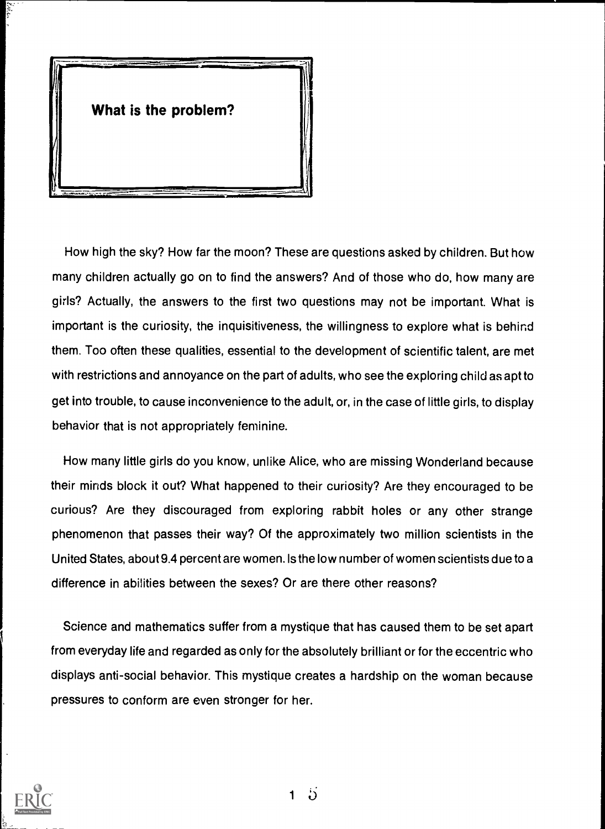

How high the sky? How far the moon? These are questions asked by children. But how many children actually go on to find the answers? And of those who do, how many are girls? Actually, the answers to the first two questions may not be important. What is important is the curiosity, the inquisitiveness, the willingness to explore what is behind them. Too often these qualities, essential to the development of scientific talent, are met with restrictions and annoyance on the part of adults, who see the exploring child as apt to get into trouble, to cause inconvenience to the adult, or, in the case of little girls, to display behavior that is not appropriately feminine.

How many little girls do you know, unlike Alice, who are missing Wonderland because their minds block it out? What happened to their curiosity? Are they encouraged to be curious? Are they discouraged from exploring rabbit holes or any other strange phenomenon that passes their way? Of the approximately two million scientists in the United States, about 9.4 percent are women. Is the low number of women scientists due to a difference in abilities between the sexes? Or are there other reasons?

Science and mathematics suffer from a mystique that has caused them to be set apart from everyday life and regarded as only for the absolutely brilliant or for the eccentric who displays anti-social behavior. This mystique creates a hardship on the woman because pressures to conform are even stronger for her.



\*1,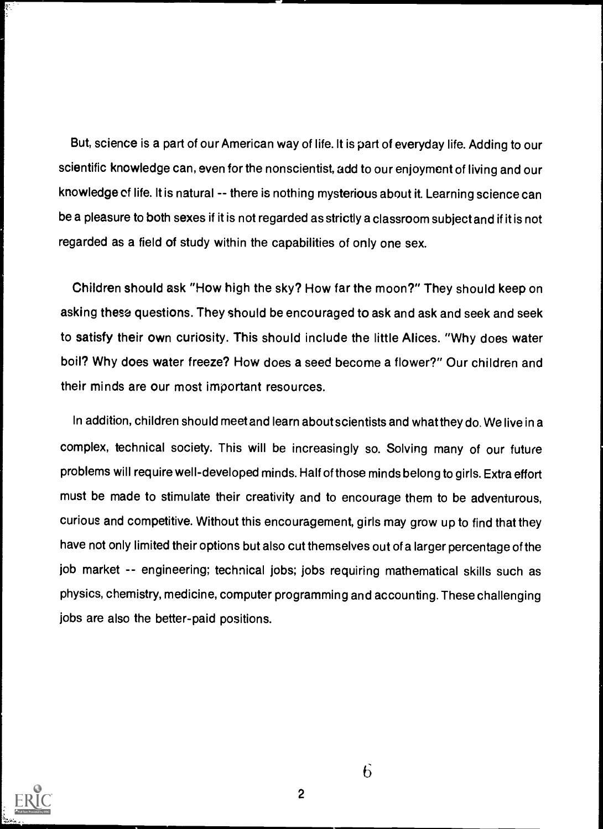But, science is a part of our American way of life. It is part of everyday life. Adding to our scientific knowledge can, even for the nonscientist, add to our enjoyment of living and our knowledge of life. It is natural -- there is nothing mysterious about it. Learning science can be a pleasure to both sexes if it is not regarded as strictly a classroom subject and if it is not regarded as a field of study within the capabilities of only one sex.

Children should ask "How high the sky? How far the moon?" They should keep on asking these questions. They should be encouraged to ask and ask and seek and seek to satisfy their own curiosity. This should include the little Alices. "Why does water boil? Why does water freeze? How does a seed become a flower?" Our children and their minds are our most important resources.

In addition, children should meet and learn about scientists and what they do. We live in a complex, technical society. This will be increasingly so. Solving many of our future problems will require well-developed minds. Half of those minds belong to girls. Extra effort must be made to stimulate their creativity and to encourage them to be adventurous, curious and competitive. Without this encouragement, girls may grow up to find that they have not only limited their options but also cut themselves out of a larger percentage of the job market -- engineering; technical jobs; jobs requiring mathematical skills such as physics, chemistry, medicine, computer programming and accounting. These challenging jobs are also the better-paid positions.



¢.

 $\mathbf{6}$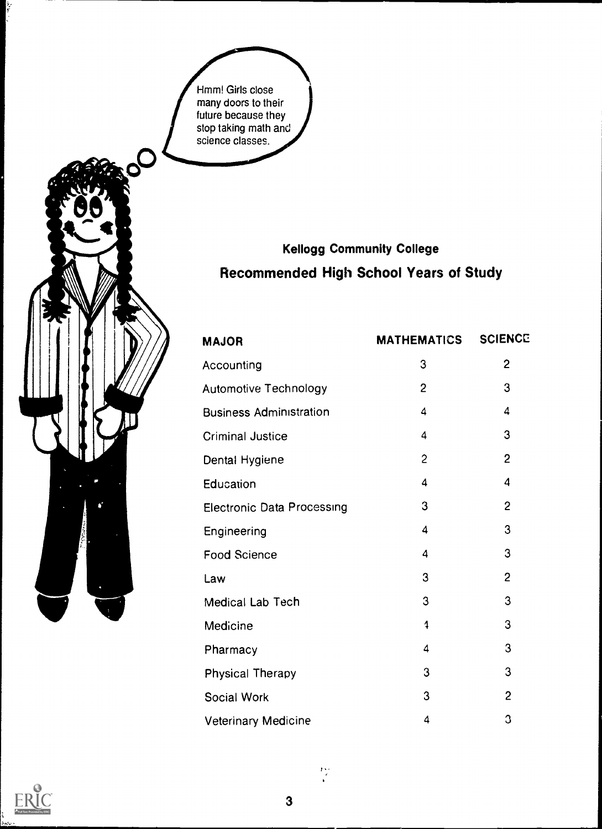Hmm! Girls close many doors to their future because they stop taking math and  $\sum$ science classes.

## Kellogg Community College Recommended High School Years of Study

| <b>MAJOR</b>                      | <b>MATHEMATICS</b> | <b>SCIENCE</b> |  |
|-----------------------------------|--------------------|----------------|--|
| Accounting                        | 3                  | $\overline{c}$ |  |
| <b>Automotive Technology</b>      | $\overline{2}$     | 3              |  |
| <b>Business Administration</b>    | 4                  | 4              |  |
| <b>Criminal Justice</b>           | 4                  | 3              |  |
| Dental Hygiene                    | $\overline{c}$     | $\overline{c}$ |  |
| Education                         | 4                  | 4              |  |
| <b>Electronic Data Processing</b> | 3                  | $\overline{2}$ |  |
| Engineering                       | 4                  | 3              |  |
| <b>Food Science</b>               | 4                  | 3              |  |
| Law                               | 3                  | $\overline{2}$ |  |
| Medical Lab Tech                  | 3                  | 3              |  |
| Medicine                          | 4                  | 3              |  |
| Pharmacy                          | 4                  | 3              |  |
| <b>Physical Therapy</b>           | 3                  | 3              |  |
| <b>Social Work</b>                | 3                  | $\overline{2}$ |  |
| <b>Veterinary Medicine</b>        | 4                  | 3              |  |



かんかい



3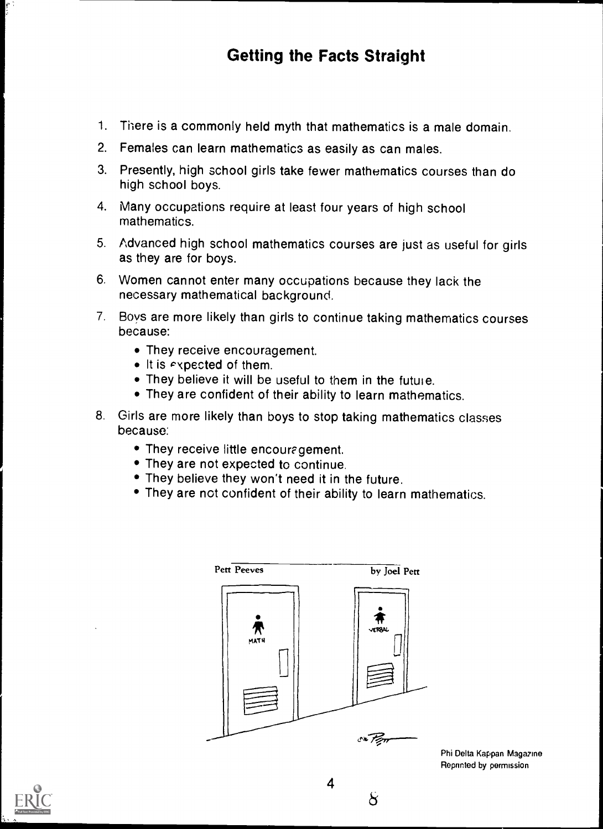## Getting the Facts Straight

- 1. There is a commonly held myth that mathematics is a male domain.
- 2. Females can learn mathematics as easily as can males.
- 3. Presently, high school girls take fewer mathematics courses than do high school boys.
- 4. Many occupations require at least four years of high school mathematics.
- 5. Advanced high school mathematics courses are just as useful for girls as they are for boys.
- 6. Women cannot enter many occupations because they lack the necessary mathematical background.
- 7. Boys are more likely than girls to continue taking mathematics courses because:
	- They receive encouragement.
	- $\bullet$  It is  $\epsilon$  xpected of them.
	- They believe it will be useful to them in the future.
	- They are confident of their ability to learn mathematics.
- 8. Girls are more likely than boys to stop taking mathematics classes because:
	- $\bullet$  They receive little encouragement.
	- They are not expected to continue.
	- They believe they won't need it in the future.
	- They are not confident of their ability to learn mathematics.



8

4

Phi Delta Kappan Magazine Reprinted by permission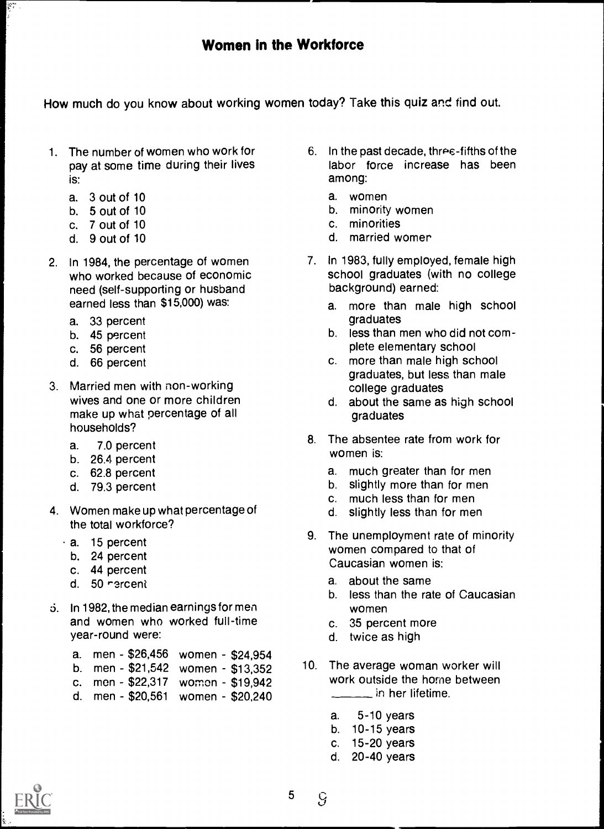How much do you know about working women today? Take this quiz and find out.

- 1. The number of women who work for pay at some time during their lives is:
	- a. 3 out of 10
	- b. 5 out of 10
	- c. 7 out of 10
	- d. 9 out of 10
- 2. In 1984, the percentage of women who worked because of economic need (self-supporting or husband earned less than \$15,000) was:
	- a. 33 percent
	- b. 45 percent
	- c. 56 percent
	- d. 66 percent
- 3. Married men with non-working wives and one or more children make up what percentage of all households?
	- a. 7.0 percent
	- b. 26.4 percent
	- c. 62.8 percent
	- d. 79.3 percent
- 4. Women make up what percentage of the total workforce?
	- a. 15 percent
		- b. 24 percent
		- c. 44 percent
		- d. 50 rercent
- a. In 1982, the median earnings for men and women who worked full-time year-round were:
	- a. men \$26,456 women \$24,954 little i 19
	- b. men \$21,542 women \$13,352
	- c. men \$22,317 womon \$19,942
	- d. men \$20,561 women \$20,240
- 6. In the past decade, three- fifths of the labor force increase has been among:
	- a. women
	- b. minority women
	- c. minorities
	- d. married womer
- 7. In 1983, fully employed, female high school graduates (with no college background) earned:
	- a. more than male high school graduates
	- b. less than men who did not complete elementary school
	- c. more than male high school graduates, but less than male college graduates
	- d. about the same as high school graduates
- 8. The absentee rate from work for women is:
	- a. much greater than for men
	- b. slightly more than for men
	- c. much less than for men
	- d. slightly less than for men
- 9. The unemployment rate of minority women compared to that of Caucasian women is:
	- a. about the same
	- b. less than the rate of Caucasian women
	- c. 35 percent more
	- d. twice as high
- 10. The average woman worker will work outside the home between **Im her lifetime.** 
	- a. 5-10 years
	- b. 10-15 years
	- c. 15-20 years
	- d. 20-40 years



5 G Company  $\mathcal{G}$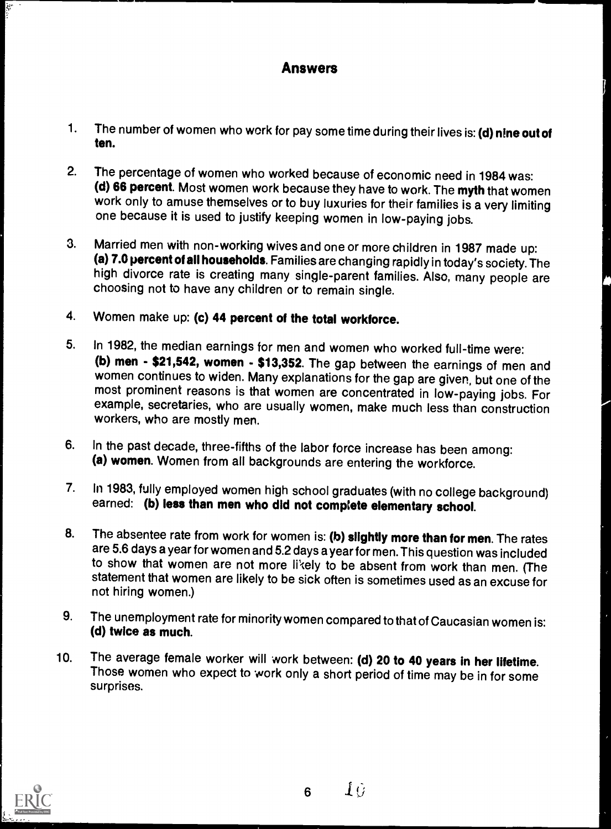## Answers

- 1. The number of women who work for pay some time during their lives is: (d) nine out of ten.
- 2. The percentage of women who worked because of economic need in 1984 was: (d) 66 percent. Most women work because they have to work. The myth that women work only to amuse themselves or to buy luxuries for their families is a very limiting one because it is used to justify keeping women in low-paying jobs.
- 3. Married men with non-working wives and one or more children in 1987 made up: (a) 7.0 percent of all households. Families are changing rapidly in today's society. The high divorce rate is creating many single-parent families. Also, many people are choosing not to have any children or to remain single.
- 4. Women make up: (c) 44 percent of the total workforce.
- 5. In 1982, the median earnings for men and women who worked full-time were: (b) men - \$21,542, women - \$13,352. The gap between the earnings of men and women continues to widen. Many explanations for the gap are given, but one of the most prominent reasons is that women are concentrated in low-paying jobs. For<br>example, secretaries, who are usually women, make much less than construction workers, who are mostly men.
- 6. In the past decade, three-fifths of the labor force increase has been among: (a) women. Women from all backgrounds are entering the workforce.
- 7. In 1983, fully employed women high school graduates (with no college background) earned: (b) less than men who did not complete elementary school.
- 8. The absentee rate from work for women is: (b) slightly more than for men. The rates are 5.6 days a year for women and 5.2 days a year for men. This question was included to show that women are not more likely to be absent from work than men. (The statement that women are likely to be sick often is sometimes used as an excuse for not hiring women.)
- 9. The unemployment rate for minority women compared to that of Caucasian women is:<br>(d) twice as much.
- 10. The average female worker will work between: (d) 20 to 40 years in her lifetime. Those women who expect to work only a short period of time may be in for some surprises.



 $\mathbf{r}$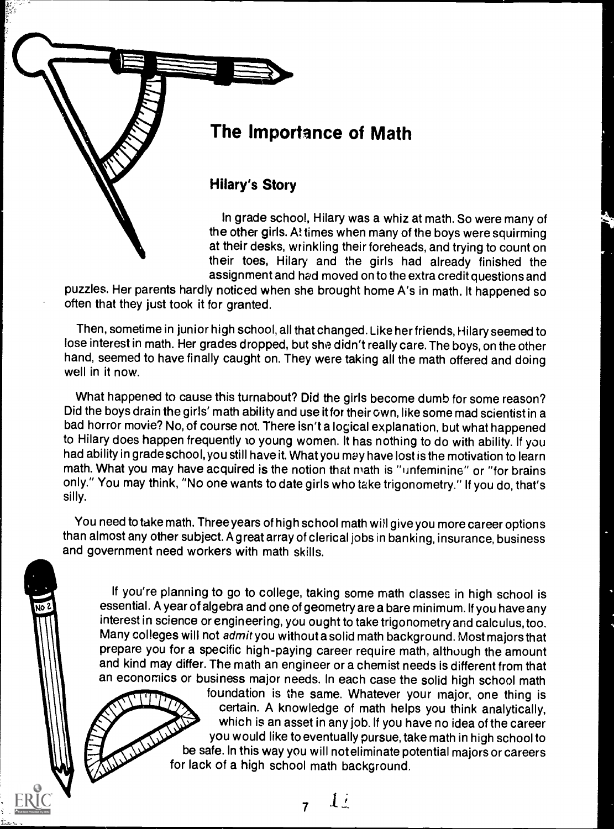

the other girls. At times when many of the boys were squirming at their desks, wrinkling their foreheads, and trying to count on their toes, Hilary and the girls had already finished the assignment and had moved on to the extra credit questions and

puzzles. Her parents hardly noticed when she brought home A's in math. It happened so often that they just took it for granted.

Then, sometime in junior high school, all that changed. Like her friends, Hilary seemed to lose interest in math. Her grades dropped, but she didn't really care. The boys, on the other hand, seemed to have finally caught on. They were taking all the math offered and doing well in it now.

What happened to cause this turnabout? Did the girls become dumb for some reason? Did the boys drain the girls' math ability and use it for their own, like some mad scientist in a bad horror movie? No, of course not. There isn't a logical explanation, but what happened to Hilary does happen frequently io young women. It has nothing to do with ability. If you had ability in grade school, you still have it. What you may have lost is the motivation to learn math. What you may have acquired is the notion that math is "unfeminine" or "for brains only." You may think, "No one wants to date girls who take trigonometry." If you do, that's silly.

You need to take math. Three years of high school math will give you more career options than almost any other subject. A great array of clerical jobs in banking, insurance, business and government need workers with math skills.

If you're planning to go to college, taking some math classes in high school is essential. A year of algebra and one of geometry are a bare minimum. If you have any interest in science or engineering, you ought to take trigonometry and calculus, too. Many colleges will not admit you without a solid math background. Most majors that prepare you for a specific high-paying career require math, although the amount and kind may differ. The math an engineer or a chemist needs is different from that an economics or business major needs. In each case the solid high school math

foundation is the same. Whatever your major, one thing is certain. A knowledge of math helps you think analytically, which is an asset in any job. If you have no idea of the career<br>you would like to eventually pursue, take math in high school to be safe. In this way you will not eliminate potential majors or careers for lack of a high school math background.

 $\mathbf{I}$  $\overline{\mathbf{z}}$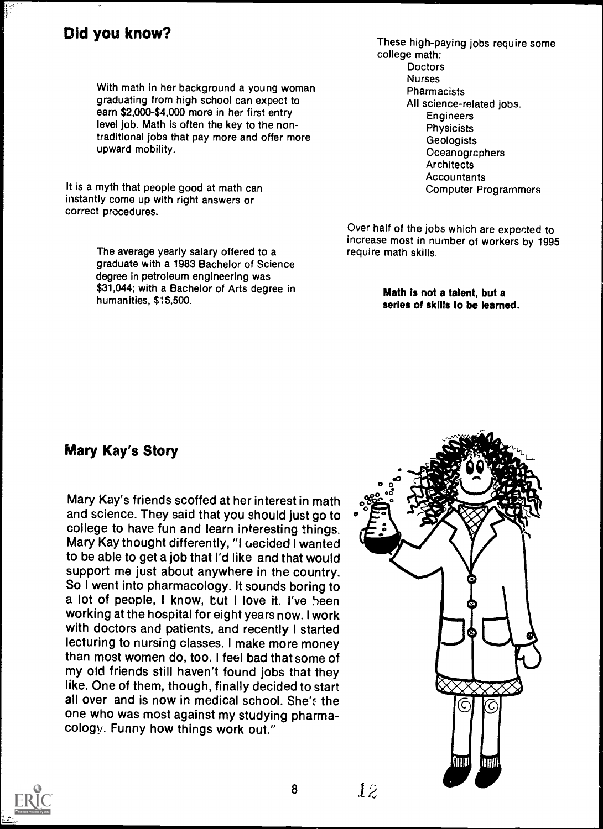## Did you know?

With math in her background a young woman graduating from high school can expect to earn \$2,000-\$4,000 more in her first entry level job. Math is often the key to the nontraditional jobs that pay more and offer more upward mobility.

It is a myth that people good at math can instantly come up with right answers or correct procedures.

> The average yearly salary offered to a graduate with a 1983 Bachelor of Science degree in petroleum engineering was \$31,044; with a Bachelor of Arts degree in humanities, \$15,500.

These high-paying jobs require some college math: **Doctors** Nurses Pharmacists All science-related jobs. Engineers **Physicists Geologists Oceanographers Architects Accountants** Computer Programmers

Over half of the jobs which are expected to increase most in number of workers by 1995 require math skills.

> Math Is not a talent, but a series of skills to be learned.

### Mary Kay's Story

Mary Kay's friends scoffed at her interest in math and science. They said that you should just go to college to have fun and learn interesting things. Mary Kay thought differently, "I oecided I wanted to be able to get a job that I'd like and that would support me just about anywhere in the country. So I went into pharmacology. It sounds boring to a lot of people, I know, but I love it. I've been working at the hospital for eight years now. I work with doctors and patients, and recently I started lecturing to nursing classes. I make more money than most women do, too. I feel bad that some of my old friends still haven't found jobs that they like. One of them, though, finally decided to start all over and is now in medical school. She's the one who was most against my studying pharmacology. Funny how things work out."



I

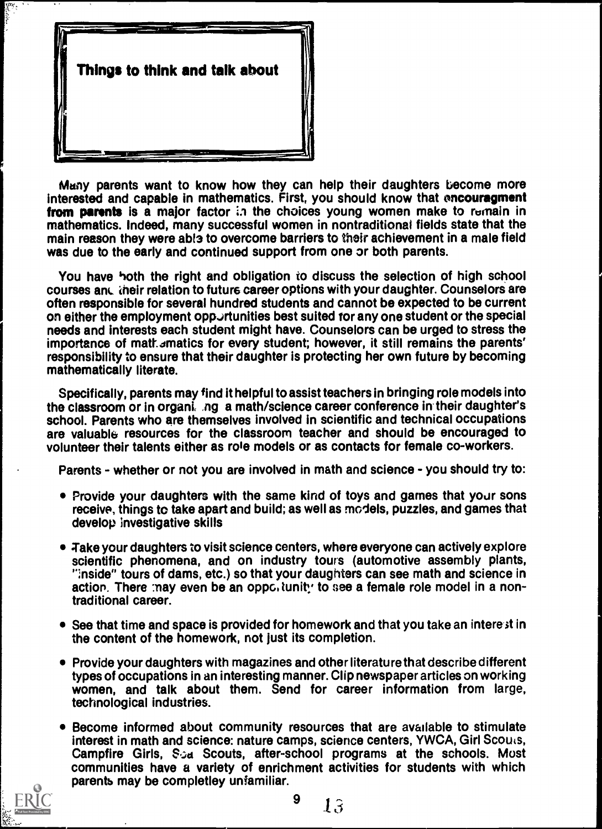

Many parents want to know how they can help their daughters become more interested and capable in mathematics. First, you should know that oncouragment from parents is a major factor in the choices young women make to remain in mathematics. Indeed, many successful women in nontraditional fields state that the main reason they were able to overcome barriers to their achievement in a male field was due to the early and continued support from one or both parents.

You have both the right and obligation to discuss the selection of high school courses any ineir relation to future career options with your daughter. Counselors are often responsible for several hundred students and cannot be expected to be current on either the employment opportunities best suited for any one student or the special needs and interests each student might have. Counselors can be urged to stress the importance of mathematics for every student; however, it still remains the parents' responsibility to ensure that their daughter is protecting her own future by becoming mathematically literate.

Specifically, parents may find it helpful to assist teachers in bringing role models into the classroom or in organi, .ng a math/science career conference in their daughter's school. Parents who are themselves involved in scientific and technical occupations are valuable resources for the classroom teacher and should be encouraged to volunteer their talents either as role models or as contacts for female co-workers.

Parents - whether or not you are involved in math and science - you should try to:

- Provide your daughters with the same kind of toys and games that your sons receive, things to take apart and build; as well as models, puzzles, and games that develop investigative skills
- Take your daughters to visit science centers, where everyone can actively explore scientific phenomena, and on industry tours (automotive assembly plants, ";nside" tours of dams, etc.) so that your daughters can see math and science in action. There may even be an oppc, tunity to see a female role model in a nontraditional career.
- See that time and space is provided for homework and that you take an interest in the content of the homework, not just its completion.
- Provide your daughters with magazines and other literature that describe different women, and talk about them. Send for career information from large, technological industries.
- Become informed about community resources that are available to stimulate interest in math and science: nature camps, science centers, YWCA, Girl Scouts, Campfire Girls,  $S_{0d}$  Scouts, after-school programs at the schools. Most communities have a variety of enrichment activities for students with which parents may be completley unfamiliar.



in the films.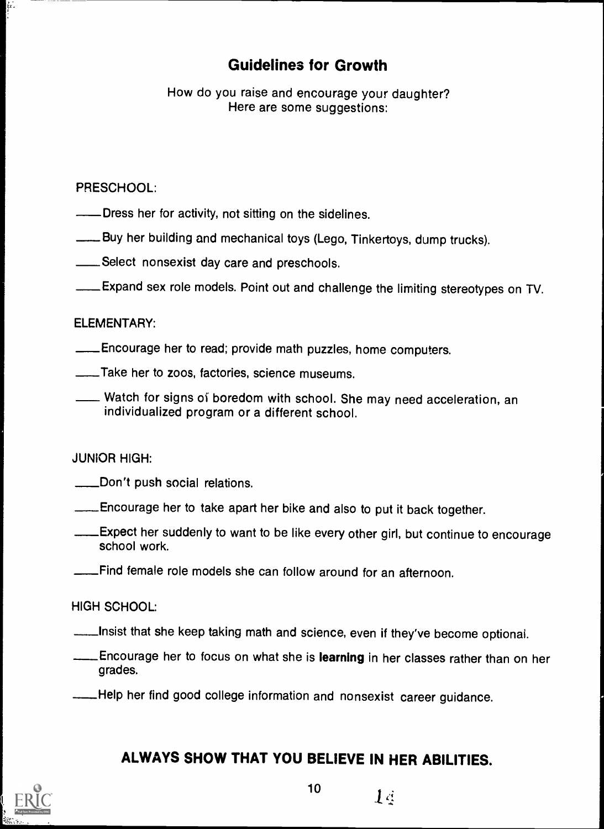## Guidelines for Growth

How do you raise and encourage your daughter? Here are some suggestions:

#### PRESCHOOL:

έz.

Dress her for activity, not sitting on the sidelines.

- \_Buy her building and mechanical toys (Lego, Tinkertoys, dump trucks).
- **Select nonsexist day care and preschools.**
- Expand sex role models. Point out and challenge the limiting stereotypes on TV.

#### ELEMENTARY:

- \_Encourage her to read; provide math puzzles, home computers.
- 
- \_\_\_Take her to zoos, factories, science museums.<br>\_\_\_ Watch for signs of boredom with school. She may need acceleration, an individualized program or a different school.

### JUNIOR HIGH:

- \_Don't push social relations.
- Encourage her to take apart her bike and also to put it back together.
- \_Expect her suddenly to want to be like every other girl, but continue to encourage school work.
- \_Find female role models she can follow around for an afternoon.

#### HIGH SCHOOL:

- \_Insist that she keep taking math and science, even if they've become optional.
- LEncourage her to focus on what she is learning in her classes rather than on her grades.
- \_Help her find good college information and nonsexist career guidance.

## ALWAYS SHOW THAT YOU BELIEVE IN HER ABILITIES.



 $1$   $\sigma$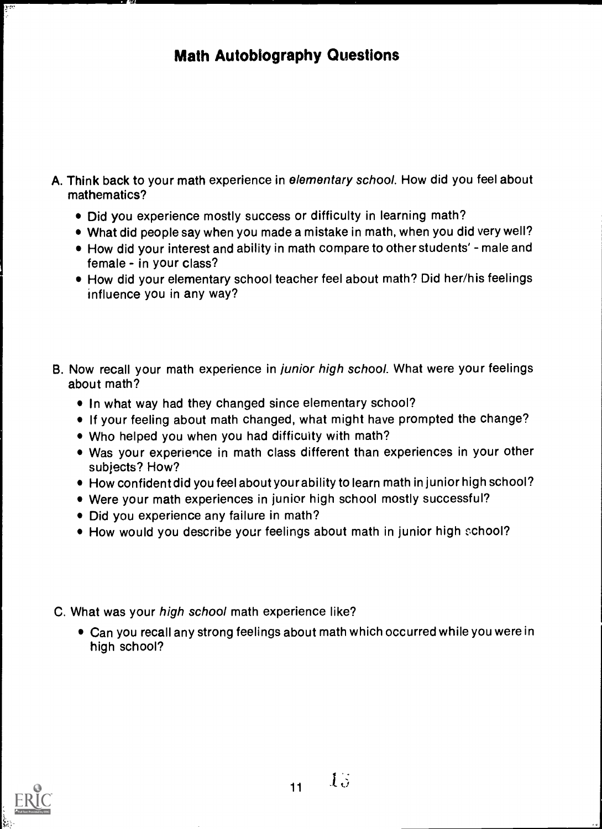## Math Autobiography Questions

- A. Think back to your math experience in elementary school. How did you feel about mathematics?
	- Did you experience mostly success or difficulty in learning math?
	- What did people say when you made a mistake in math, when you did very well?
	- How did your interest and ability in math compare to other students' male and female - in your class?
	- How did your elementary school teacher feel about math? Did her/his feelings influence you in any way?
- B. Now recall your math experience in junior high school. What were your feelings about math?
	- In what way had they changed since elementary school?
	- If your feeling about math changed, what might have prompted the change?
	- Who helped you when you had difficulty with math?
	- Was your experience in math class different than experiences in your other subjects? How?
	- How confident did you feel about your ability to learn math in junior high school?
	- Were your math experiences in junior high school mostly successful?
	- Did you experience any failure in math?
	- How would you describe your feelings about math in junior high school?
- C. What was your high school math experience like?
	- Can you recall any strong feelings about math which occurred while you were in high school?

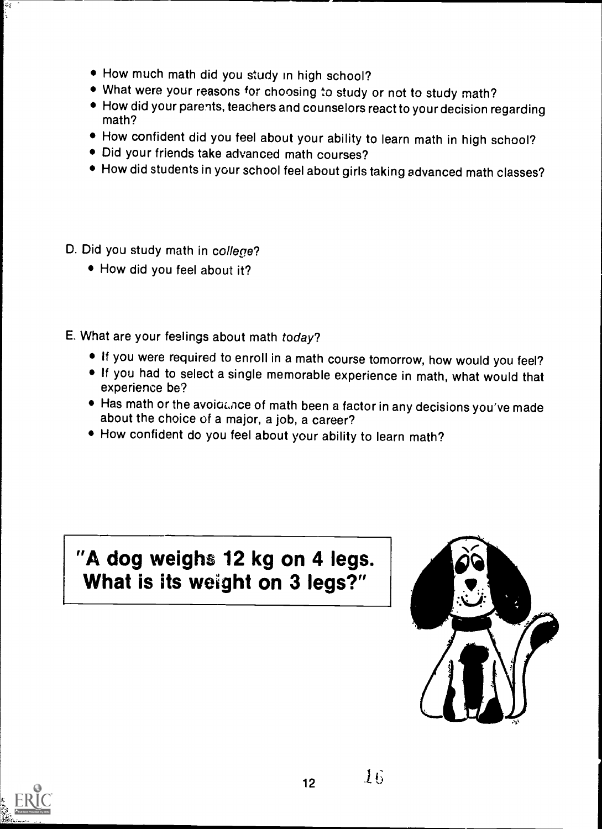- How much math did you study in high school?
- What were your reasons for choosing to study or not to study math?
- How did your parents, teachers and counselors react to your decision regarding math?
- How confident did you feel about your ability to learn math in high school?
- Did your friends take advanced math courses?
- How did students in your school feel about girls taking advanced math classes?
- D. Did you study math in college?
	- How did you feel about it?
- E. What are your feelings about math today?
	- If you were required to enroll in a math course tomorrow, how would you feel?
	- If you had to select a single memorable experience in math, what would that experience be?
	- $\bullet$  Has math or the avoic the of math been a factor in any decisions you've made about the choice of a major, a job, a career?
	- How confident do you feel about your ability to learn math?

## "A dog weighs 12 kg on 4 legs. What is its weight on 3 legs?"



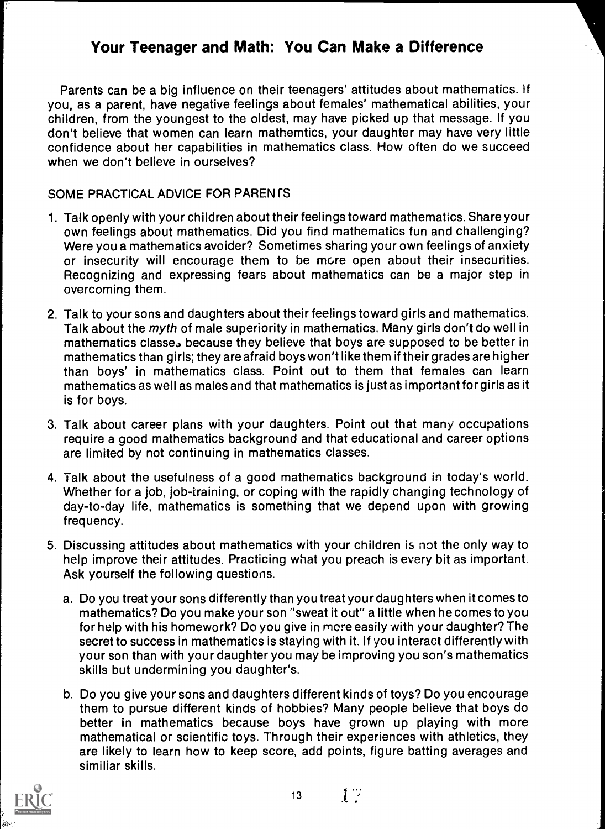## Your Teenager and Math: You Can Make a Difference

Parents can be a big influence on their teenagers' attitudes about mathematics. If you, as a parent, have negative feelings about females' mathematical abilities, your children, from the youngest to the oldest, may have picked up that message. If you don't believe that women can learn mathemtics, your daughter may have very little confidence about her capabilities in mathematics class. How often do we succeed when we don't believe in ourselves?

#### SOME PRACTICAL ADVICE FOR PAREN FS

- <sup>1</sup> Talk openly with your children about their feelings toward mathematics. Share your own feelings about mathematics. Did you find mathematics fun and challenging? Were you a mathematics avoider? Sometimes sharing your own feelings of anxiety or insecurity will encourage them to be more open about their insecurities. Recognizing and expressing fears about mathematics can be a major step in overcoming them.
- 2. Talk to your sons and daughters about their feelings toward girls and mathematics. Talk about the myth of male superiority in mathematics. Many girls don't do well in mathematics classe, because they believe that boys are supposed to be better in mathematics than girls; they are afraid boys won't like them if their grades are higher than boys' in mathematics class. Point out to them that females can learn mathematics as well as males and that mathematics is just as important for girls as it is for boys.
- 3. Talk about career plans with your daughters. Point out that many occupations require a good mathematics background and that educational and career options are limited by not continuing in mathematics classes.
- 4. Talk about the usefulness of a good mathematics background in today's world. Whether for a job, job-training, or coping with the rapidly changing technology of day-to-day life, mathematics is something that we depend upon with growing frequency.
- 5. Discussing attitudes about mathematics with your children is not the only way to help improve their attitudes. Practicing what you preach is every bit as important. Ask yourself the following questions.
	- a. Do you treat your sons differently than you treat your daughters when it comes to mathematics? Do you make your son "sweat it out" a little when he comes to you for help with his homework? Do you give in mere easily with your daughter? The secret to success in mathematics is staying with it. If you interact differently with your son than with your daughter you may be improving you son's mathematics skills but undermining you daughter's.
	- b. Do you give your sons and daughters different kinds of toys? Do you encourage them to pursue different kinds of hobbies? Many people believe that boys do better in mathematics because boys have grown up playing with more mathematical or scientific toys. Through their experiences with athletics, they are likely to learn how to keep score, add points, figure batting averages and similiar skills.



13 $\Gamma$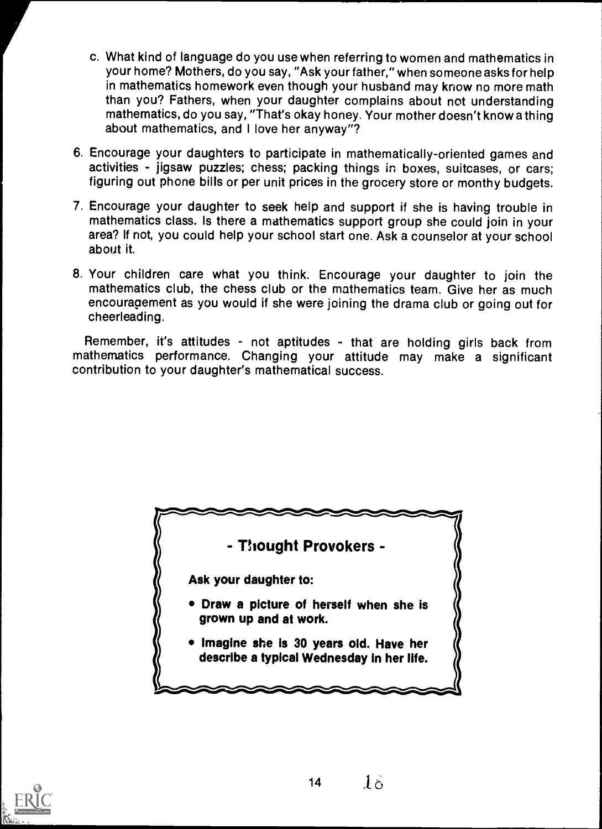- c. What kind of language do you use when referring to women and mathematics in your home? Mothers, do you say, "Ask your father," when someone asks for help in mathematics homework even though your husband may know no more math than you? Fathers, when your daughter complains about not understanding mathematics, do you say, "That's okay honey. Your mother doesn't know a thing about mathematics, and I love her anyway"?
- 6. Encourage your daughters to participate in mathematically-oriented games and activities - jigsaw puzzles; chess; packing things in boxes, suitcases, or cars; figuring out phone bills or per unit prices in the grocery store or monthy budgets.
- 7. Encourage your daughter to seek help and support if she is having trouble in mathematics class. Is there a mathematics support group she could join in your area? If not, you could help your school start one. Ask a counselor at your school about it.
- 8. Your children care what you think. Encourage your daughter to join the mathematics club, the chess club or the mathematics team. Give her as much encouragement as you would if she were joining the drama club or going out for cheerleading.

Remember, it's attitudes - not aptitudes - that are holding girls back from mathematics performance. Changing your attitude may make a significant contribution to your daughter's mathematical success.

## - Thought Provokers -

Ask your daughter to:

- Draw a picture of herself when she is grown up and at work.
- Imagine she is 30 years old. Have her describe a typical Wednesday in her life.

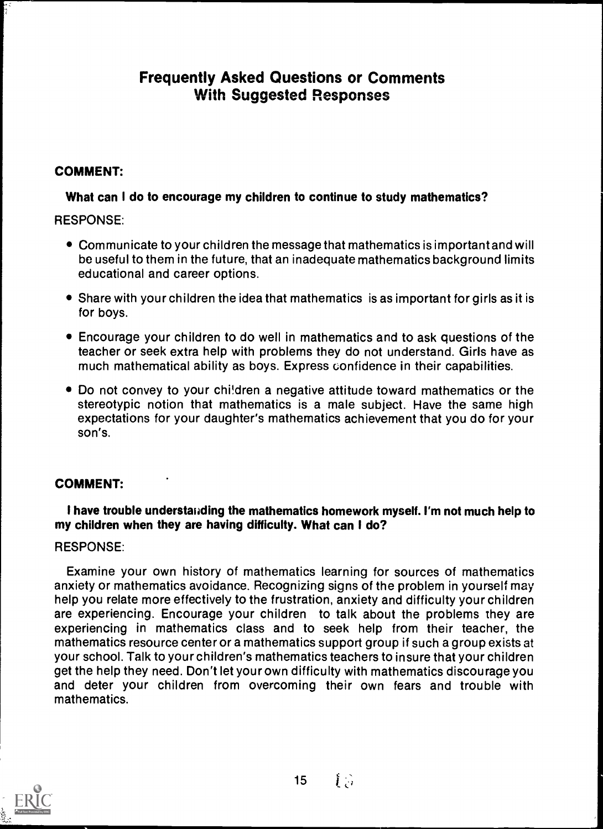## Frequently Asked Questions or Comments With Suggested Responses

#### COMMENT:

#### What can I do to encourage my children to continue to study mathematics?

RESPONSE:

- Communicate to your children the message that mathematics is important and will be useful to them in the future, that an inadequate mathematics background limits educational and career options.
- Share with your children the idea that mathematics is as important for girls as it is for boys.
- Encourage your children to do well in mathematics and to ask questions of the teacher or seek extra help with problems they do not understand. Girls have as much mathematical ability as boys. Express confidence in their capabilities.
- Do not convey to your chi!dren a negative attitude toward mathematics or the stereotypic notion that mathematics is a male subject. Have the same high expectations for your daughter's mathematics achievement that you do for your son's.

#### COMMENT:

#### I have trouble understanding the mathematics homework myself. I'm not much help to my children when they are having difficulty. What can I do?

#### RESPONSE:

Examine your own history of mathematics learning for sources of mathematics anxiety or mathematics avoidance. Recognizing signs of the problem in yourself may help you relate more effectively to the frustration, anxiety and difficulty your children are experiencing. Encourage your children to talk about the problems they are experiencing in mathematics class and to seek help from their teacher, the mathematics resource center or a mathematics support group if such a group exists at your school. Talk to your children's mathematics teachers to insure that your children get the help they need. Don't let your own difficulty with mathematics discourage you and deter your children from overcoming their own fears and trouble with mathematics.



 $\mathbf{E}$ 15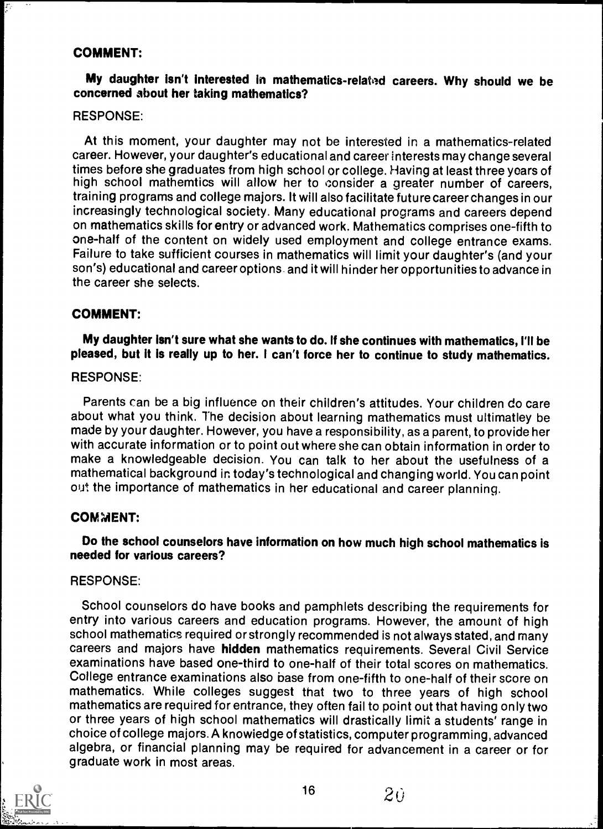#### COMMENT:

#### My daughter isn't interested in mathematics-related careers. Why should we be concerned about her taking mathematics?

#### RESPONSE:

At this moment, your daughter may not be interested in a mathematics-related career. However, your daughter's educational and career interests may change several<br>times before she graduates from high school or college. Having at least three years of high school mathemtics will allow her to consider a greater number of careers, training programs and college majors. It will also facilitate future career changes in our increasingly technological society. Many educational programs and careers depend on mathematics skills for entry or advanced work. Mathematics comprises one-fifth to one-half of the content on widely used employment and college entrance exams. Failure to take sufficient courses in mathematics will limit your daughter's (and your son's) educational and career options and it will hinder her opportunities to advance in the career she selects.

#### COMMENT:

My daughter isn't sure what she wants to do. If she continues with mathematics, I'll be pleased, but it is really up to her. I can't force her to continue to study mathematics.

#### RESPONSE:

Parents can be a big influence on their children's attitudes. Your children do care about what you think. The decision about learning mathematics must ultimatley be made by your daughter. However, you have a responsibility, as a parent, to provide her with accurate information or to point out where she can obtain information in order to make a knowledgeable decision. You can talk to her about the usefulness of a mathematical background in today's technological and changing world. You can point out the importance of mathematics in her educational and career planning.

#### COMMENT:

#### Do the school counselors have information on how much high school mathematics is needed for various careers?

#### RESPONSE:

School counselors do have books and pamphlets describing the requirements for entry into various careers and education programs. However, the amount of high school mathematics required or strongly recommended is not always stated, and many careers and majors have hidden mathematics requirements. Several Civil Service examinations have based one-third to one-half of their total scores on mathematics. College entrance examinations also base from one-fifth to one-half of their score on mathematics. While colleges suggest that two to three years of high school mathematics are required for entrance, they often fail to point out that having only two or three years of high school mathematics will drastically limit a students' range in choice of college majors. A knowiedge of statistics, computer programming, advanced algebra, or financial planning may be required for advancement in a career or for graduate work in most areas.



16  $20$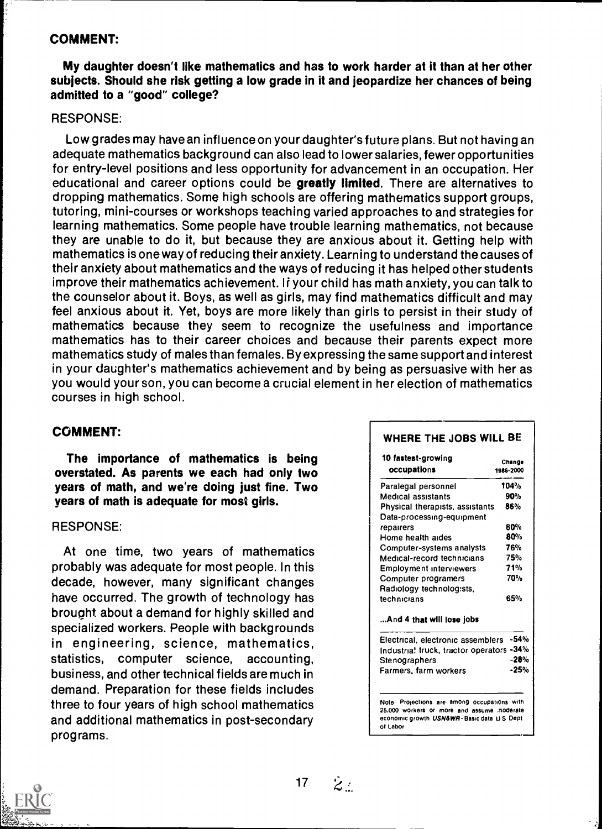#### COMMENT:

My daughter doesn't like mathematics and has to work harder at it than at her other subjects. Should she risk getting a low grade in it and jeopardize her chances of being admitted to a "good" college?

#### RESPONSE:

Low grades may have an influence on your daughter's future plans. But not having an adequate mathematics background can also lead to lower salaries, fewer opportunities for entry-level positions and less opportunity for advancement in an occupation. Her educational and career options could be greatly limited. There are alternatives to dropping mathematics. Some high schools are offering mathematics support groups, tutoring, mini-courses or workshops teaching varied approaches to and strategies for learning mathematics. Some people have trouble learning mathematics, not because they are unable to do it, but because they are anxious about it. Getting help with mathematics is one way of reducing their anxiety. Learning to understand the causes of their anxiety about mathematics and the ways of reducing it has helped other students improve their mathematics achievement. If your child has math anxiety, you can talk to the counselor about it. Boys, as well as girls, may find mathematics difficult and may feel anxious about it. Yet, boys are more likely than girls to persist in their study of mathematics because they seem to recognize the usefulness and importance mathematics has to their career choices and because their parents expect more mathematics study of males than females. By expressing the same support and interest in your daughter's mathematics achievement and by being as persuasive with her as you would your son, you can become a crucial element in her election of mathematics courses in high school.

#### COMMENT:

The importance of mathematics is being overstated. As parents we each had only two years of math, and we're doing just fine. Two years of math is adequate for most girls.

#### RESPONSE:

At one time, two years of mathematics probably was adequate for most people. In this decade, however, many significant changes have occurred. The growth of technology has brought about a demand for highly skilled and specialized workers. People with backgrounds in engineering, science, mathematics, statistics, computer science, accounting, business, and other technical fields are much in demand. Preparation for these fields includes three to four years of high school mathematics and additional mathematics in post-secondary programs.

#### WHERE THE JOBS WILL BE

| 104%<br>Paralegal personnel<br>90%<br>Medical assistants<br>86%<br>Physical therapists, assistants<br>Data-processing-equipment<br>80%<br>repairers<br>80%<br>Home health aides |
|---------------------------------------------------------------------------------------------------------------------------------------------------------------------------------|
|                                                                                                                                                                                 |
|                                                                                                                                                                                 |
|                                                                                                                                                                                 |
|                                                                                                                                                                                 |
|                                                                                                                                                                                 |
|                                                                                                                                                                                 |
| 76%<br>Computer-systems analysts                                                                                                                                                |
| 75%<br>Medical-record technicians                                                                                                                                               |
| 71%<br><b>Employment interviewers</b>                                                                                                                                           |
| <b>70%</b><br>Computer programers                                                                                                                                               |
| Radiology technolog:sts,                                                                                                                                                        |
| 65%<br>technicians                                                                                                                                                              |
| And 4 that will lose jobs                                                                                                                                                       |
| $-54%$<br>Electrical, electronic assemblers                                                                                                                                     |
| Industria! truck, tractor operators -34%                                                                                                                                        |
| $-28%$<br>Stenographers                                                                                                                                                         |
| $-25%$<br>Farmers, farm workers                                                                                                                                                 |
|                                                                                                                                                                                 |
| Projections are among occupations with<br>Note<br>25,000 workers or more and assume moderate<br>economic growth USN&WR-Basic data U.S. Dept.<br>of Labor                        |

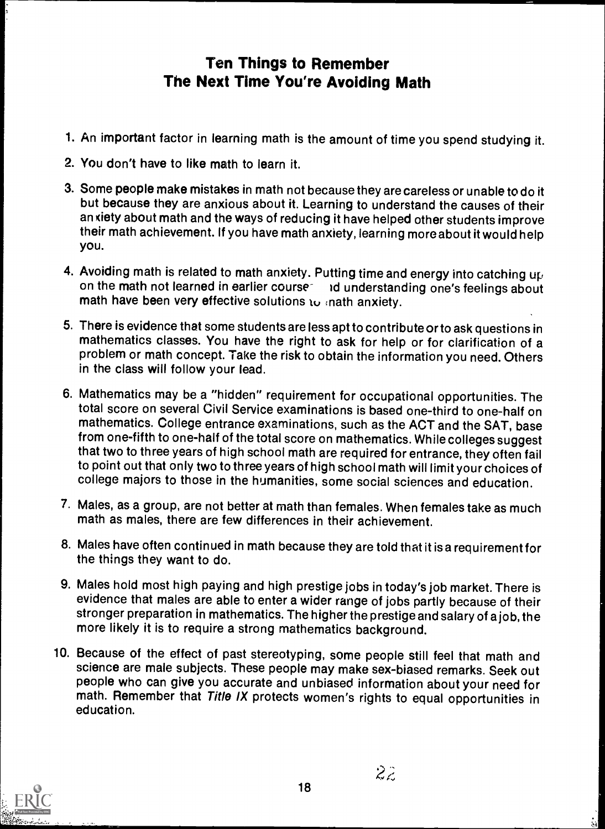## Ten Things to Remember The Next Time You're Avoiding Math

- 1. An important factor in learning math is the amount of time you spend studying it.
- 2. You don't have to like math to learn it.
- 3. Some people make mistakes in math not because they are careless or unable to do it but because they are anxious about it. Learning to understand the causes of their anxiety about math and the ways of reducing it have helped other students improve their math achievement. If you have math anxiety, learning more about it would help you.
- 4. Avoiding math is related to math anxiety. Putting time and energy into catching  $up$  on the math not learned in earlier course id understanding one's feelings about id understanding one's feelings about math have been very effective solutions  $i_{\mathbf{v}}$  , nath anxiety.
- 5. There is evidence that some students are less apt to contributeor to ask questions in mathematics classes. You have the right to ask for help or for clarification of a problem or math concept. Take the risk to obtain the information you need. Others in the class will follow your lead.
- 6. Mathematics may be a "hidden" requirement for occupational opportunities. The total score on several Civil Service examinations is based one-third to one-half on mathematics. College entrance examinations, such as the ACT and the SAT, base from one-fifth to one-half of the total score on mathematics. While colleges suggest that two to three years of high school math are required for entrance, they often fail<br>to point out that only two to three years of high school math will limit your choices of college majors to those in the humanities, some social sciences and education.
- 7. Males, as a group, are not better at math than females. When females take as much math as males, there are few differences in their achievement.
- 8. Males have often continued in math because they are told that it is a requirement for the things they want to do.
- 9. Males hold most high paying and high prestige jobs in today's job market. There is evidence that males are able to enter a wider range of jobs partly because of their stronger preparation in mathematics. The higher the prestige and salary of a job, the more likely it is to require a strong mathematics background.
- 10. Because of the effect of past stereotyping, some people still feel that math and science are male subjects. These people may make sex-biased remarks. Seek out<br>people who can give you accurate and unbiased information about your need for math. Remember that Title IX protects women's rights to equal opportunities in education.

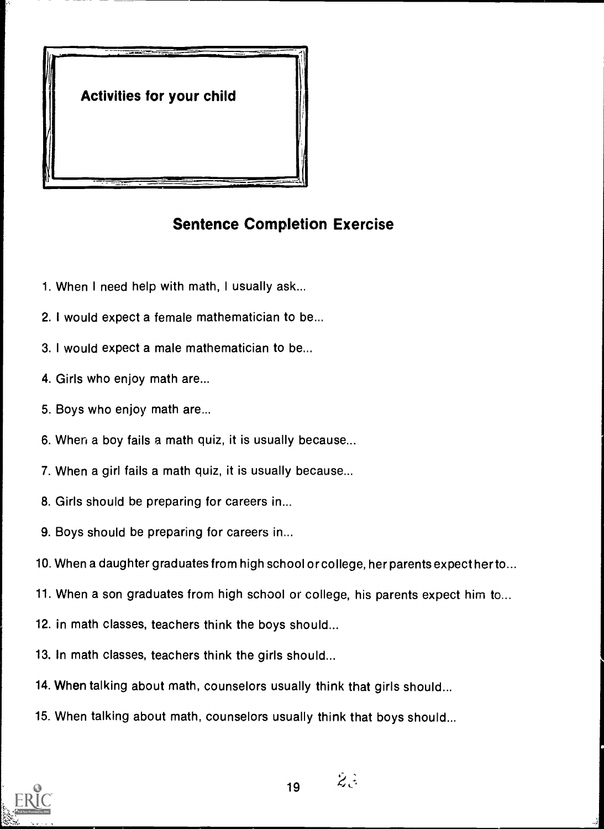

## Sentence Completion Exercise

- 1. When I need help with math, I usually ask...
- 2. I would expect a female mathematician to be...
- 3. I would expect a male mathematician to be...
- 4. Girls who enjoy math are...
- 5. Boys who enjoy math are...
- 6. When a boy fails a math quiz, it is usually because...
- 7. When a girl fails a math quiz, it is usually because...
- 8. Girls should be preparing for careers in...
- 9. Boys should be preparing for careers in...
- 10. When a daughter graduates from high school or college, her parents expect her to...
- 11. When a son graduates from high school or college, his parents expect him to...
- 12. in math classes, teachers think the boys should...
- 13. In math classes, teachers think the girls should...
- 14. When talking about math, counselors usually think that girls should...
- 15. When talking about math, counselors usually think that boys should...



 $\hat{z}$  :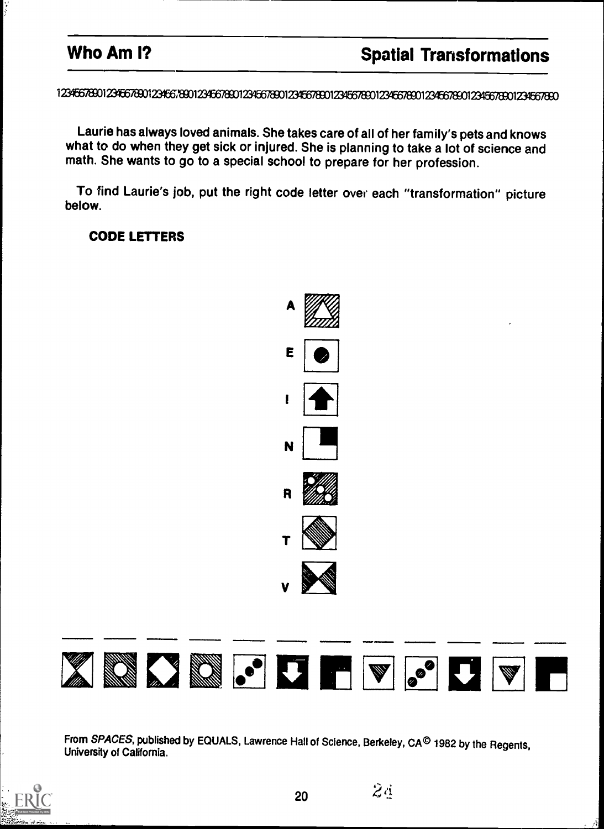1234567890123456789012345678901234567890123456789012345678901234567890123456789012345678901234567890

Laurie has always loved animals. She takes care of all of her family's pets and knows what to do when they get sick or injured. She is planning to take a lot of science and math. She wants to go to a special school to prepare for her profession.

To find Laurie's job, put the right code letter over each "transformation" picture below.

#### CODE LETTERS





From SPACES, published by EQUALS, Lawrence Hall of Science, Berkeley, CA<sup>®</sup> 1982 by the Regents, University of California.

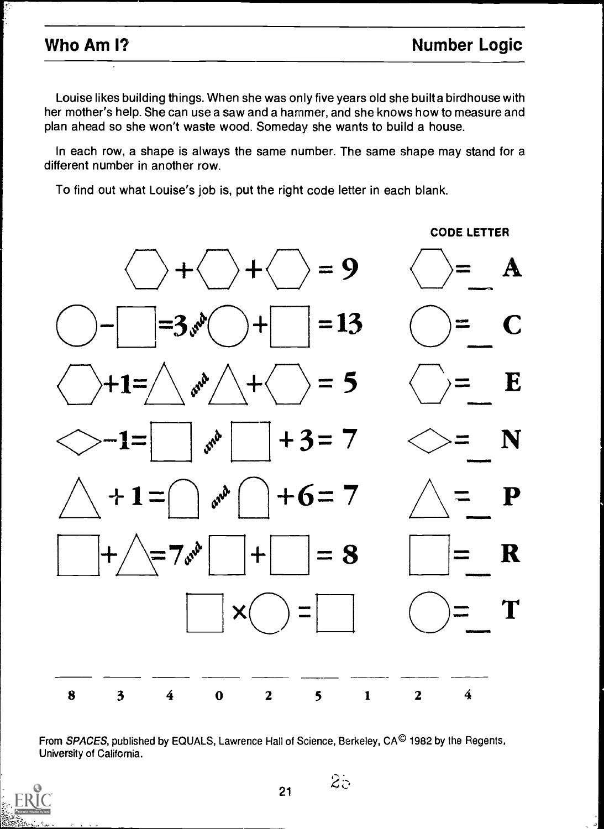Louise likes building things. When she was only five years old she built a birdhouse with her mother's help. She can use a saw and a hammer, and she knows how to measure and plan ahead so she won't waste wood. Someday she wants to build a house.

In each row, a shape is always the same number. The same shape may stand for a different number in another row.

To find out what Louise's job is, put the right code letter in each blank.



From SPACES, published by EQUALS, Lawrence Hall of Science, Berkeley, CA<sup>©</sup> 1982 by the Regents, University of California.



 $25$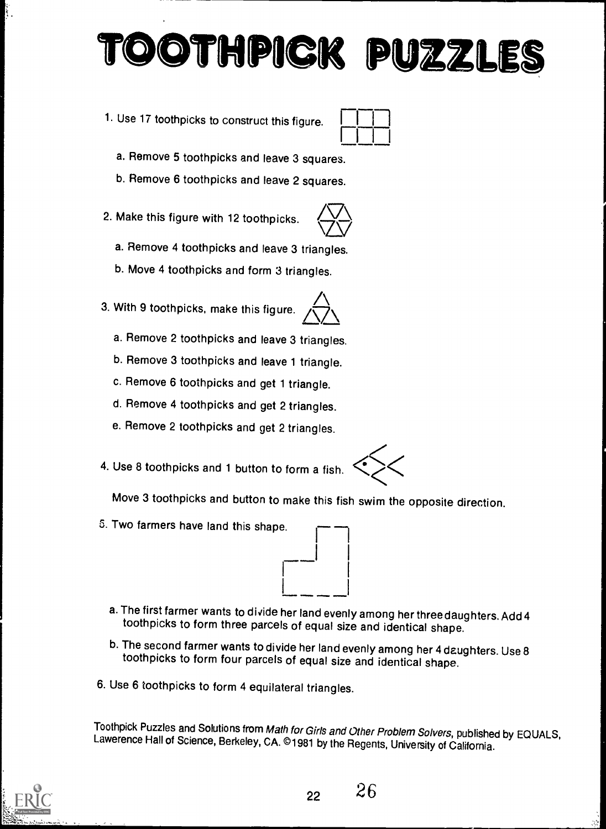# DOTHPICK PUZZLES

- 1. Use 17 toothpicks to construct this figure.
	- a. Remove 5 toothpicks and leave 3 squares.
	- b. Remove 6 toothpicks and leave 2 squares.
- 2. Make this figure with 12 toothpicks.



- a. Remove 4 toothpicks and leave 3 triangles.
- b. Move 4 toothpicks and form 3 triangles.
- 3. With 9 toothpicks, make this figure.



- a. Remove 2 toothpicks and leave 3 triangles.
- b. Remove 3 toothpicks and leave 1 triangle.
- c. Remove 6 toothpicks and get 1 triangle.
- d. Remove 4 toothpicks and get 2 triangles.
- e. Remove 2 toothpicks and get 2 triangles.
- 4. Use 8 toothpicks and 1 button to form a fish.



I

Move 3 toothpicks and button to make this fish swim the opposite direction.<br>5. Two farmers have land this shape.



- a. The first farmer wants to divide her land evenly among her three daughters. Add 4 toothpicks to form three parcels of equal size and identical shape.
- b. The second farmer wants to divide her land evenly among her 4 daughters. Use 8 toothpicks to form four parcels of equal size and identical shape.
- 6. Use 6 toothpicks to form 4 equilateral triangles.

Toothpick Puzzles and Solutions from Math for Girls and Other Problem Solvers, published by EQUALS, Lawerence Hall of Science, Berkeley, CA. ©1981 by the Regents, University of California.

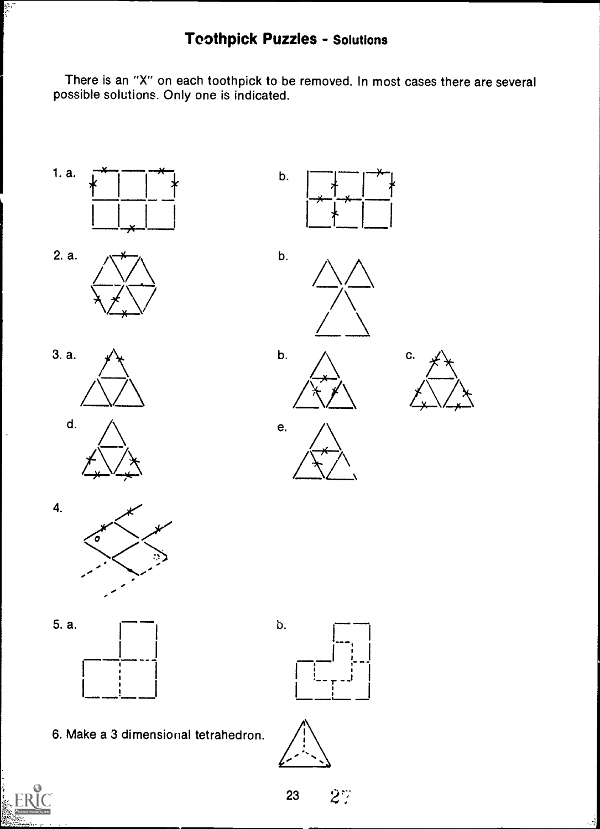There is an "X" on each toothpick to be removed. In most cases there are several possible solutions. Only one is indicated.



6. Make a 3 dimensional tetrahedron.



<sup>23</sup> 27



k<br>Bo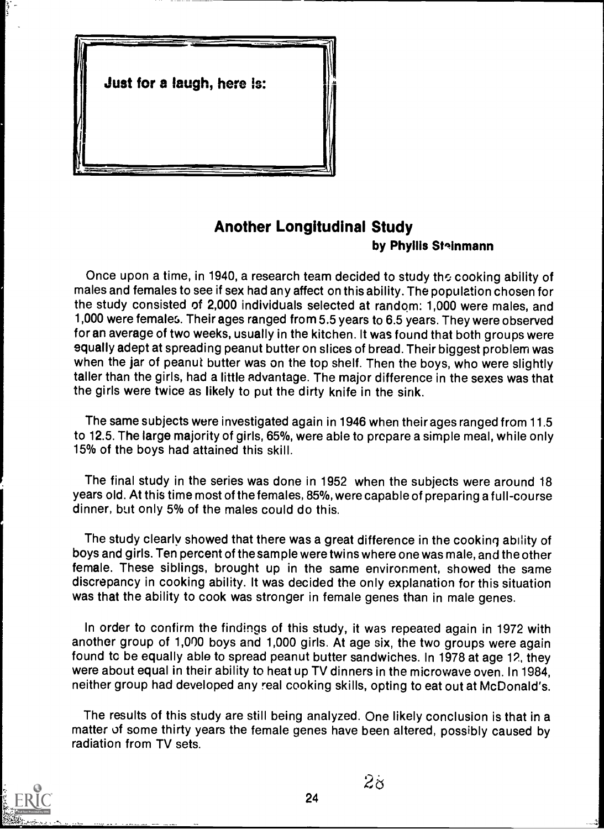

## Another Longitudinal Study by Phyllis Steinmann

Once upon a time, in 1940, a research team decided to study the cooking ability of males and females to see if sex had any affect on this ability. The population chosen for the study consisted of 2,000 individuals selected at random: 1,000 were males, and 1,000 were females. Their ages ranged from 5.5 years to 6.5 years. They were observed for an average of two weeks, usually in the kitchen. It was found that both groups were equally adept at spreading peanut butter on slices of bread. Their biggest problem was when the jar of peanut butter was on the top shelf. Then the boys, who were slightly taller than the girls, had a little advantage. The major difference in the sexes was that the girls were twice as likely to put the dirty knife in the sink.

The same subjects were investigated again in 1946 when their ages ranged from 11.5 to 12.5. The large majority of girls, 65%, were able to prepare a simple meal, while only 15% of the boys had attained this skill.

The final study in the series was done in 1952 when the subjects were around 18 years old. At this time most of the females, 85%, were capable of preparing a full-course dinner, but only 5% of the males could do this.

The study clearly showed that there was a great difference in the cooking ability of boys and girls. Ten percent of the sample were twins where one was male, and the other female. These siblings, brought up in the same environment, showed the same discrepancy in cooking ability. It was decided the only explanation for this situation was that the ability to cook was stronger in female genes than in male genes.

In order to confirm the findings of this study, it was repeated again in 1972 with another group of 1,000 boys and 1,000 girls. At age six, the two groups were again found to be equally able to spread peanut butter sandwiches. In 1978 at age 12, they were about equal in their ability to heat up TV dinners in the microwave oven. In 1984, neither group had developed any real cooking skills, opting to eat out at McDonald's.

The results of this study are still being analyzed. One likely conclusion is that in a matter of some thirty years the female genes have been altered, possibly caused by radiation from TV sets.



 $28$ 

24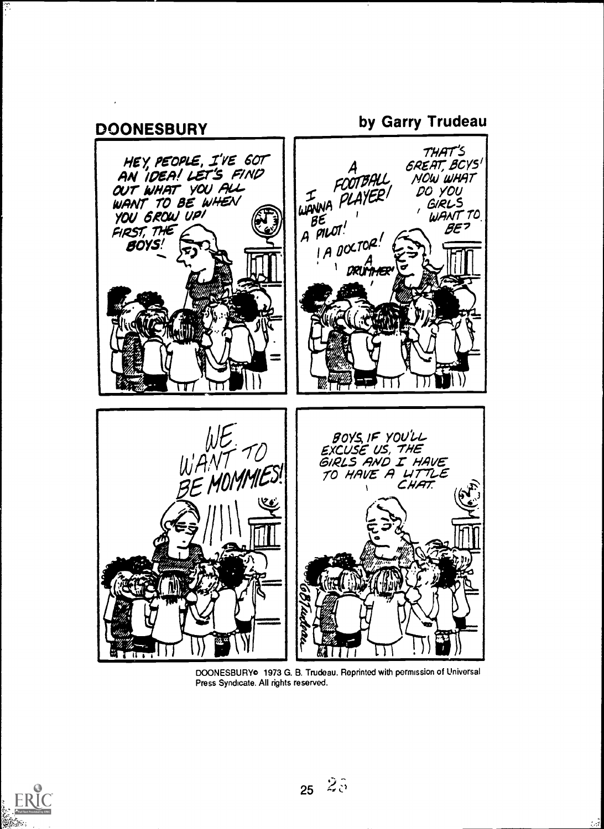**DOONESBURY** 

Ŧ

by Garry Trudeau



DOONESBURY0 1973 G. B. Trudeau. Reprinted with permission of Universal Press Syndicate. All rights reserved.



 $2\alpha$  and  $\beta$ 25  $\sim$  0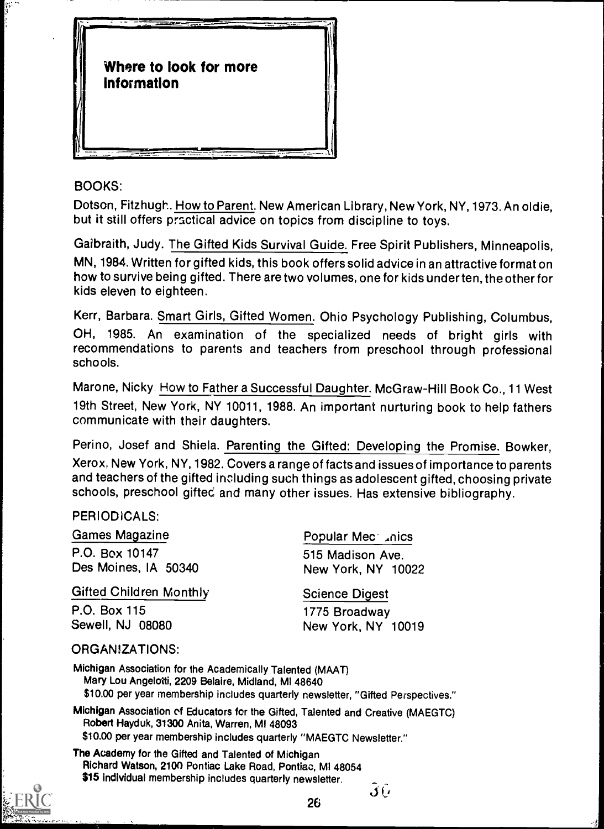

#### BOOKS:

Dotson, Fitzhugh. How to Parent. New American Library, New York, NY, 1973. An oldie, but it still offers practical advice on topics from discipline to toys.

Galbraith, Judy. The Gifted Kids Survival Guide. Free Spirit Publishers, Minneapolis,

MN, 1984. Written for gifted kids, this book offers solid advice in an attractive format on how to survive being gifted. There are two volumes, one for kids under ten, the other for kids eleven to eighteen.

Kerr, Barbara. Smart Girls, Gifted Women. Ohio Psychology Publishing, Columbus, OH, 1985. An examination of the specialized needs of bright girls with recommendations to parents and teachers from preschool through professional schools.

Marone, Nicky. How to Father a Successful Daughter. McGraw-Hill Book Co., 11 West 19th Street, New York, NY 10011, 1988. An important nurturing book to help fathers communicate with their daughters.

Perino, Josef and Shiela. Parenting the Gifted: Developing the Promise. Bowker, Xerox, New York, NY, 1982. Covers a range of facts and issues of importance to parents and teachers of the gifted including such things as adolescent gifted, choosing private schools, preschool gifted and many other issues. Has extensive bibliography.

#### PERIODICALS:

Games Magazine P.O. Box 10147 Des Moines, IA 50340

Gifted Children Monthly Science Digest

P.O. Box 115 Sewell, NJ 08080 Popular Mecannics 515 Madison Ave. New York, NY 10022

1775 Broadway New York, NY 10019

 $30$ 

#### ORGANIZATIONS:

Michigan Association for the Academically Talented (MAAT) Mary Lou Angelotti, 2209 Belaire, Midland, MI 48640 \$10.00 per year membership includes quarterly newsletter, "Gifted Perspectives."

Michigan Association of Educators for the Gifted, Talented and Creative (MAEGTC) Robert Hayduk, 31300 Anita, Warren, MI 48093 \$10.00 per year membership includes quarterly "MAEGTC Newsletter."

The Academy for the Gifted and Talented of Michigan Richard Watson, 2100 Pontiac Lake Road, Pontiac, MI 48054 \$15 individual membership includes quarterly newsletter.

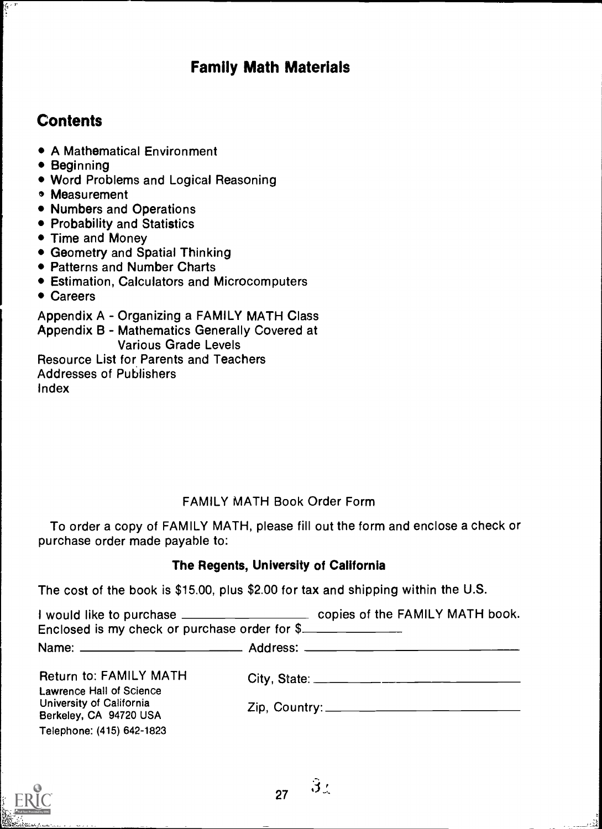## Family Math Materials

## **Contents**

ķ.

- A Mathematical Environment
- Beginning
- Word Problems and Logical Reasoning
- Measurement
- Numbers and Operations
- Probability and Statistics
- Time and Money
- Geometry and Spatial Thinking
- Patterns and Number Charts
- Estimation, Calculators and Microcomputers
- Careers

Appendix A - Organizing a FAMILY MATH Class Appendix B - Mathematics Generally Covered at Various Grade Levels Resource List for. Parents and Teachers Addresses of Publishers Index

### FAMILY MATH Book Order Form

To order a copy of FAMILY MATH, please fill out the form and enclose a check or purchase order made payable to:

#### The Regents, University of California

The cost of the book is \$15.00, plus \$2.00 for tax and shipping within the U.S.

| Enclosed is my check or purchase order for \$                                         |  |
|---------------------------------------------------------------------------------------|--|
|                                                                                       |  |
| <b>Return to: FAMILY MATH</b><br>Lawrence Hall of Science<br>University of California |  |
| Berkeley, CA 94720 USA                                                                |  |

Telephone: (415) 642-1823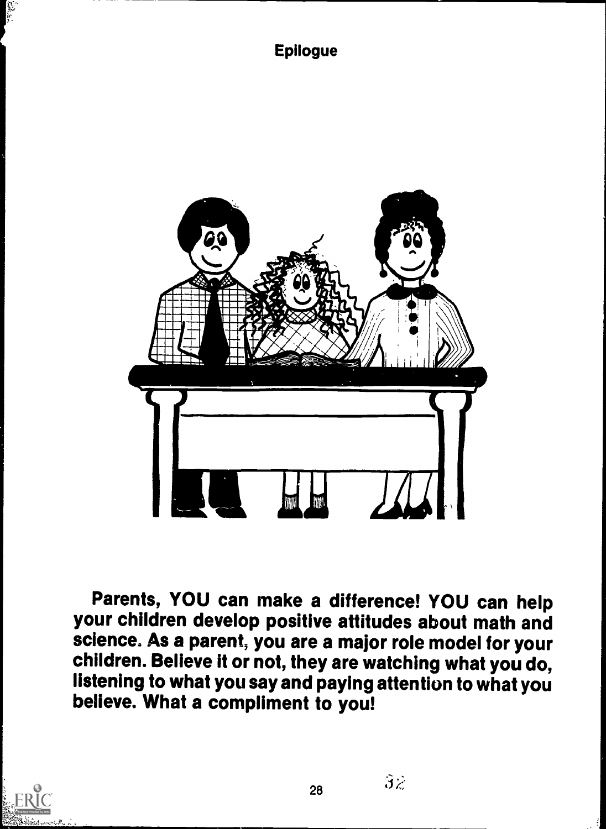

Epilogue

Parents, YOU can make a difference! YOU can help your children develop positive attitudes about math and science. As a parent, you are a major role model for your children. Believe it or not, they are watching what you do, listening to what you say and paying attention to what you believe. What a compliment to you!